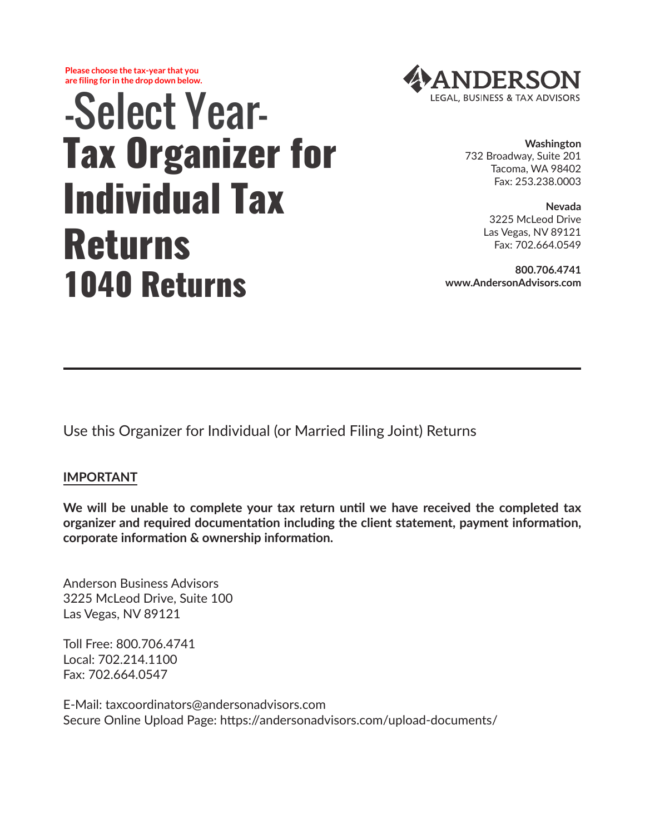**Please choose the tax-year that you are filing for in the drop down below.**





**Washington** 732 Broadway, Suite 201 Tacoma, WA 98402 Fax: 253.238.0003

> **Nevada** 3225 McLeod Drive Las Vegas, NV 89121 Fax: 702.664.0549

**800.706.4741 www.AndersonAdvisors.com**

Use this Organizer for Individual (or Married Filing Joint) Returns

### **IMPORTANT**

**We will be unable to complete your tax return until we have received the completed tax organizer and required documentation including the client statement, payment information, corporate information & ownership information.**

Anderson Business Advisors 3225 McLeod Drive, Suite 100 Las Vegas, NV 89121

Toll Free: 800.706.4741 Local: 702.214.1100 Fax: 702.664.0547

E-Mail: taxcoordinators@andersonadvisors.com Secure Online Upload Page: https://andersonadvisors.com/upload-documents/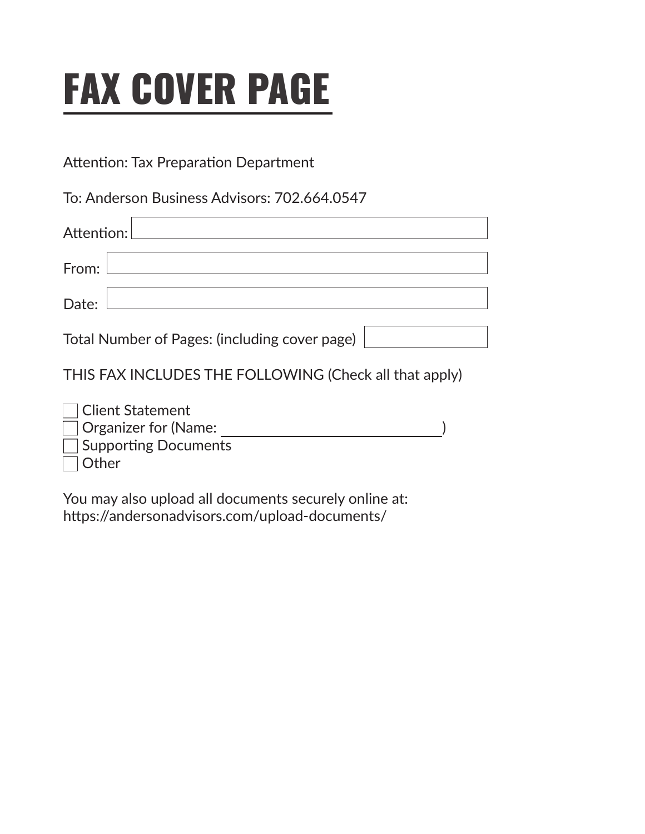# FAX COVER PAGE

Attention: Tax Preparation Department

| To: Anderson Business Advisors: 702.664.0547                                                   |
|------------------------------------------------------------------------------------------------|
| Attention:                                                                                     |
| From:                                                                                          |
| Date:                                                                                          |
| Total Number of Pages: (including cover page)                                                  |
| THIS FAX INCLUDES THE FOLLOWING (Check all that apply)                                         |
| <b>Client Statement</b><br><b>Organizer for (Name:</b><br><b>Supporting Documents</b><br>Other |

You may also upload all documents securely online at: https://andersonadvisors.com/upload-documents/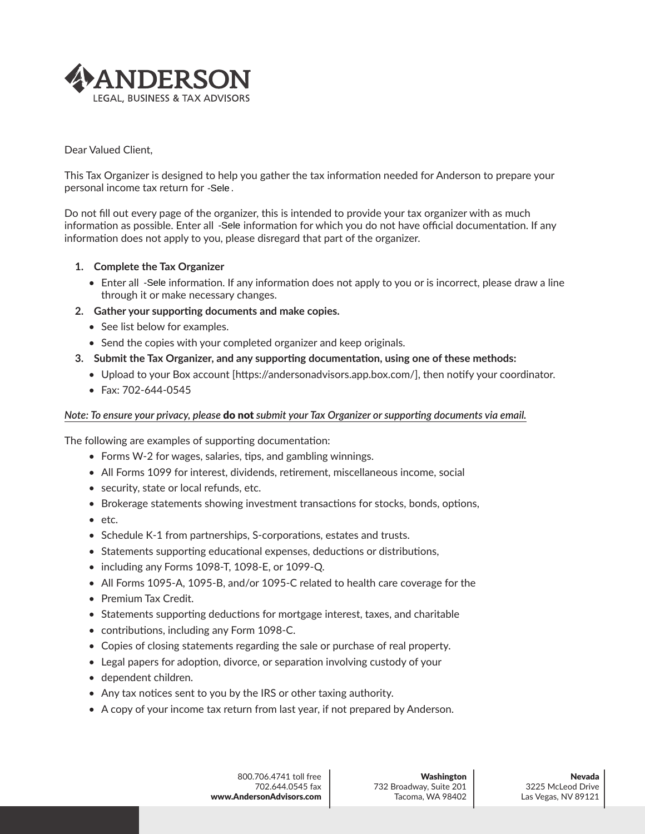

Dear Valued Client,

This Tax Organizer is designed to help you gather the tax information needed for Anderson to prepare your personal income tax return for -Sele .

Do not fill out every page of the organizer, this is intended to provide your tax organizer with as much information as possible. Enter all -Sele information for which you do not have official documentation. If any information does not apply to you, please disregard that part of the organizer.

- **1. Complete the Tax Organizer**
	- Enter all -Sele information. If any information does not apply to you or is incorrect, please draw a line through it or make necessary changes.
- **2. Gather your supporting documents and make copies.**
	- See list below for examples.
	- Send the copies with your completed organizer and keep originals.
- **3. Submit the Tax Organizer, and any supporting documentation, using one of these methods:**
	- Upload to your Box account [https://andersonadvisors.app.box.com/], then notify your coordinator.
	- Fax: 702-644-0545

#### *Note: To ensure your privacy, please* do not *submit your Tax Organizer or supporting documents via email.*

The following are examples of supporting documentation:

- Forms W-2 for wages, salaries, tips, and gambling winnings.
- All Forms 1099 for interest, dividends, retirement, miscellaneous income, social
- security, state or local refunds, etc.
- Brokerage statements showing investment transactions for stocks, bonds, options,
- etc.
- Schedule K-1 from partnerships, S-corporations, estates and trusts.
- Statements supporting educational expenses, deductions or distributions,
- including any Forms 1098-T, 1098-E, or 1099-Q.
- All Forms 1095-A, 1095-B, and/or 1095-C related to health care coverage for the
- Premium Tax Credit.
- Statements supporting deductions for mortgage interest, taxes, and charitable
- contributions, including any Form 1098-C.
- Copies of closing statements regarding the sale or purchase of real property.
- Legal papers for adoption, divorce, or separation involving custody of your
- dependent children.
- Any tax notices sent to you by the IRS or other taxing authority.
- A copy of your income tax return from last year, if not prepared by Anderson.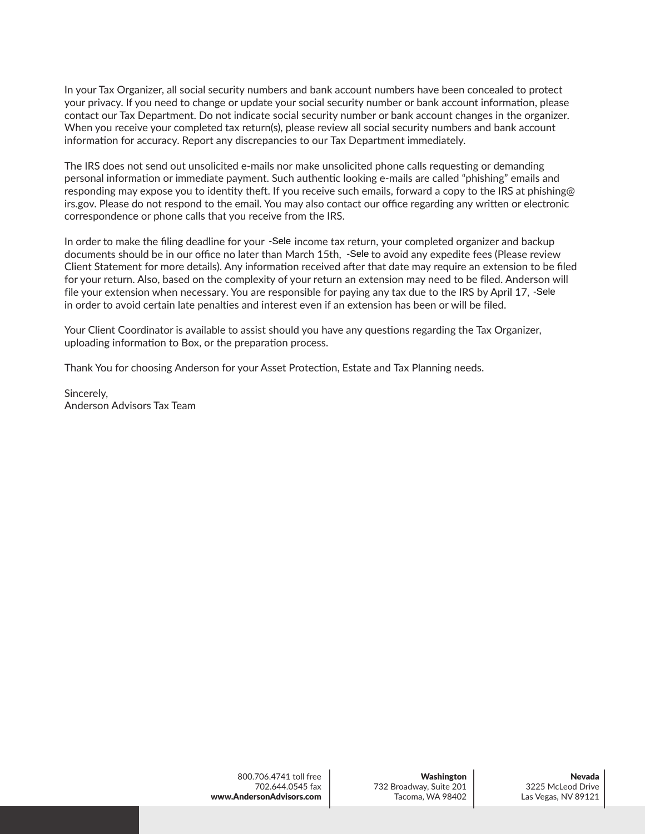In your Tax Organizer, all social security numbers and bank account numbers have been concealed to protect your privacy. If you need to change or update your social security number or bank account information, please contact our Tax Department. Do not indicate social security number or bank account changes in the organizer. When you receive your completed tax return(s), please review all social security numbers and bank account information for accuracy. Report any discrepancies to our Tax Department immediately.

The IRS does not send out unsolicited e-mails nor make unsolicited phone calls requesting or demanding personal information or immediate payment. Such authentic looking e-mails are called "phishing" emails and responding may expose you to identity theft. If you receive such emails, forward a copy to the IRS at phishing@ irs.gov. Please do not respond to the email. You may also contact our office regarding any written or electronic correspondence or phone calls that you receive from the IRS.

In order to make the filing deadline for your -Sele income tax return, your completed organizer and backup documents should be in our office no later than March 15th, -Sele to avoid any expedite fees (Please review Client Statement for more details). Any information received after that date may require an extension to be filed for your return. Also, based on the complexity of your return an extension may need to be filed. Anderson will file your extension when necessary. You are responsible for paying any tax due to the IRS by April 17, -Sele in order to avoid certain late penalties and interest even if an extension has been or will be filed.

Your Client Coordinator is available to assist should you have any questions regarding the Tax Organizer, uploading information to Box, or the preparation process.

Thank You for choosing Anderson for your Asset Protection, Estate and Tax Planning needs.

Sincerely, Anderson Advisors Tax Team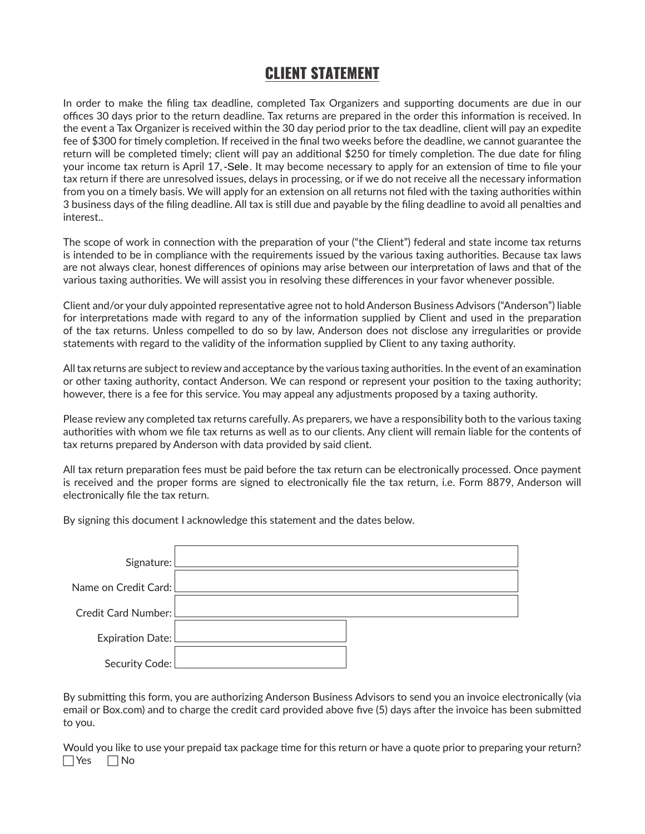# CLIENT STATEMENT

In order to make the filing tax deadline, completed Tax Organizers and supporting documents are due in our offices 30 days prior to the return deadline. Tax returns are prepared in the order this information is received. In the event a Tax Organizer is received within the 30 day period prior to the tax deadline, client will pay an expedite fee of \$300 for timely completion. If received in the final two weeks before the deadline, we cannot guarantee the return will be completed timely; client will pay an additional \$250 for timely completion. The due date for filing your income tax return is April 17, -Sele. It may become necessary to apply for an extension of time to file your tax return if there are unresolved issues, delays in processing, or if we do not receive all the necessary information from you on a timely basis. We will apply for an extension on all returns not filed with the taxing authorities within 3 business days of the filing deadline. All tax is still due and payable by the filing deadline to avoid all penalties and interest..

The scope of work in connection with the preparation of your ("the Client") federal and state income tax returns is intended to be in compliance with the requirements issued by the various taxing authorities. Because tax laws are not always clear, honest differences of opinions may arise between our interpretation of laws and that of the various taxing authorities. We will assist you in resolving these differences in your favor whenever possible.

Client and/or your duly appointed representative agree not to hold Anderson Business Advisors ("Anderson") liable for interpretations made with regard to any of the information supplied by Client and used in the preparation of the tax returns. Unless compelled to do so by law, Anderson does not disclose any irregularities or provide statements with regard to the validity of the information supplied by Client to any taxing authority.

All tax returns are subject to review and acceptance by the various taxing authorities. In the event of an examination or other taxing authority, contact Anderson. We can respond or represent your position to the taxing authority; however, there is a fee for this service. You may appeal any adjustments proposed by a taxing authority.

Please review any completed tax returns carefully. As preparers, we have a responsibility both to the various taxing authorities with whom we file tax returns as well as to our clients. Any client will remain liable for the contents of tax returns prepared by Anderson with data provided by said client.

All tax return preparation fees must be paid before the tax return can be electronically processed. Once payment is received and the proper forms are signed to electronically file the tax return, i.e. Form 8879, Anderson will electronically file the tax return.

By signing this document I acknowledge this statement and the dates below.

| Signature:          |                                           |  |
|---------------------|-------------------------------------------|--|
|                     |                                           |  |
|                     | Name on Credit Card: Name on Credit Card: |  |
| Credit Card Number: |                                           |  |
| Expiration Date: L  |                                           |  |
| Security Code:      |                                           |  |

By submitting this form, you are authorizing Anderson Business Advisors to send you an invoice electronically (via email or Box.com) and to charge the credit card provided above five (5) days after the invoice has been submitted to you.

Would you like to use your prepaid tax package time for this return or have a quote prior to preparing your return?  $\Box$ Yes  $\Box$ No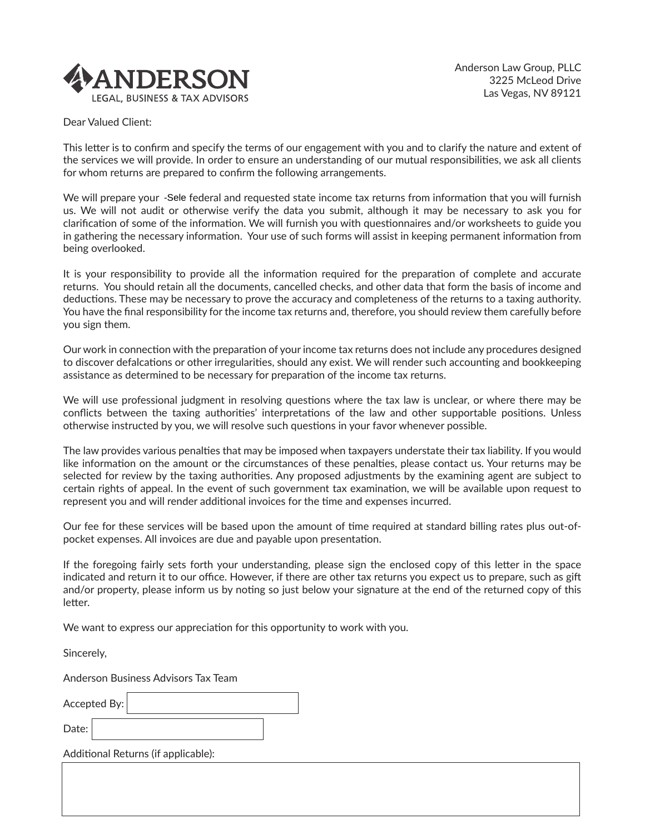

Dear Valued Client:

This letter is to confirm and specify the terms of our engagement with you and to clarify the nature and extent of the services we will provide. In order to ensure an understanding of our mutual responsibilities, we ask all clients for whom returns are prepared to confirm the following arrangements.

We will prepare your -Sele federal and requested state income tax returns from information that you will furnish us. We will not audit or otherwise verify the data you submit, although it may be necessary to ask you for clarification of some of the information. We will furnish you with questionnaires and/or worksheets to guide you in gathering the necessary information. Your use of such forms will assist in keeping permanent information from being overlooked.

It is your responsibility to provide all the information required for the preparation of complete and accurate returns. You should retain all the documents, cancelled checks, and other data that form the basis of income and deductions. These may be necessary to prove the accuracy and completeness of the returns to a taxing authority. You have the final responsibility for the income tax returns and, therefore, you should review them carefully before you sign them.

Our work in connection with the preparation of your income tax returns does not include any procedures designed to discover defalcations or other irregularities, should any exist. We will render such accounting and bookkeeping assistance as determined to be necessary for preparation of the income tax returns.

We will use professional judgment in resolving questions where the tax law is unclear, or where there may be conflicts between the taxing authorities' interpretations of the law and other supportable positions. Unless otherwise instructed by you, we will resolve such questions in your favor whenever possible.

The law provides various penalties that may be imposed when taxpayers understate their tax liability. If you would like information on the amount or the circumstances of these penalties, please contact us. Your returns may be selected for review by the taxing authorities. Any proposed adjustments by the examining agent are subject to certain rights of appeal. In the event of such government tax examination, we will be available upon request to represent you and will render additional invoices for the time and expenses incurred.

Our fee for these services will be based upon the amount of time required at standard billing rates plus out-ofpocket expenses. All invoices are due and payable upon presentation.

If the foregoing fairly sets forth your understanding, please sign the enclosed copy of this letter in the space indicated and return it to our office. However, if there are other tax returns you expect us to prepare, such as gift and/or property, please inform us by noting so just below your signature at the end of the returned copy of this letter.

We want to express our appreciation for this opportunity to work with you.

Sincerely,

Anderson Business Advisors Tax Team

Accepted By:

Date:

Additional Returns (if applicable):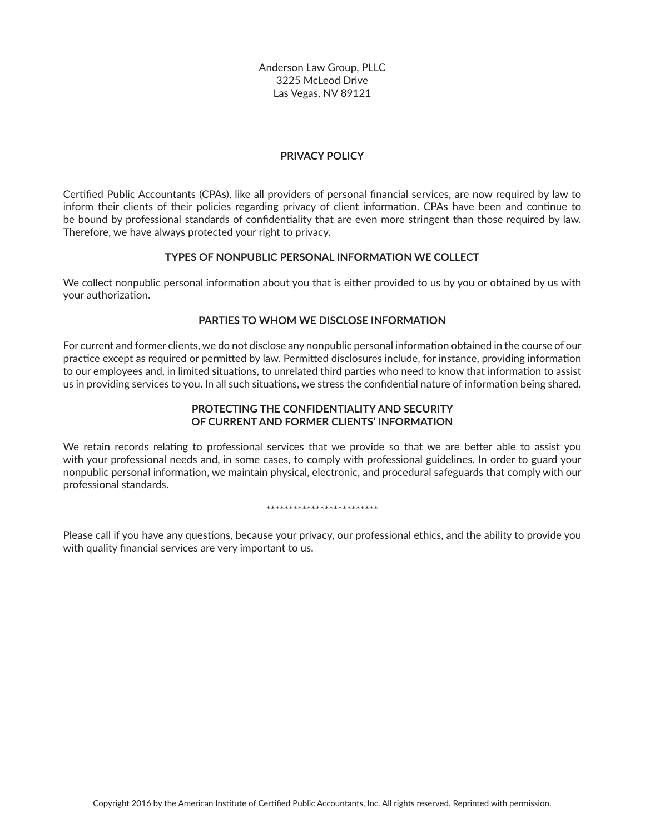Anderson Law Group, PLLC 3225 McLeod Drive Las Vegas, NV 89121

#### **PRIVACY POLICY**

Certified Public Accountants (CPAs), like all providers of personal financial services, are now required by law to inform their clients of their policies regarding privacy of client information. CPAs have been and continue to be bound by professional standards of confidentiality that are even more stringent than those required by law. Therefore, we have always protected your right to privacy.

### **TYPES OF NONPUBLIC PERSONAL INFORMATION WE COLLECT**

We collect nonpublic personal information about you that is either provided to us by you or obtained by us with your authorization.

### **PARTIES TO WHOM WE DISCLOSE INFORMATION**

For current and former clients, we do not disclose any nonpublic personal information obtained in the course of our practice except as required or permitted by law. Permitted disclosures include, for instance, providing information to our employees and, in limited situations, to unrelated third parties who need to know that information to assist us in providing services to you. In all such situations, we stress the confidential nature of information being shared.

### **PROTECTING THE CONFIDENTIALITY AND SECURITY OF CURRENT AND FORMER CLIENTS' INFORMATION**

We retain records relating to professional services that we provide so that we are better able to assist you with your professional needs and, in some cases, to comply with professional guidelines. In order to guard your nonpublic personal information, we maintain physical, electronic, and procedural safeguards that comply with our professional standards.

#### \*\*\*\*\*\*\*\*\*\*\*\*\*\*\*\*\*\*\*\*\*\*\*\*\*

Please call if you have any questions, because your privacy, our professional ethics, and the ability to provide you with quality financial services are very important to us.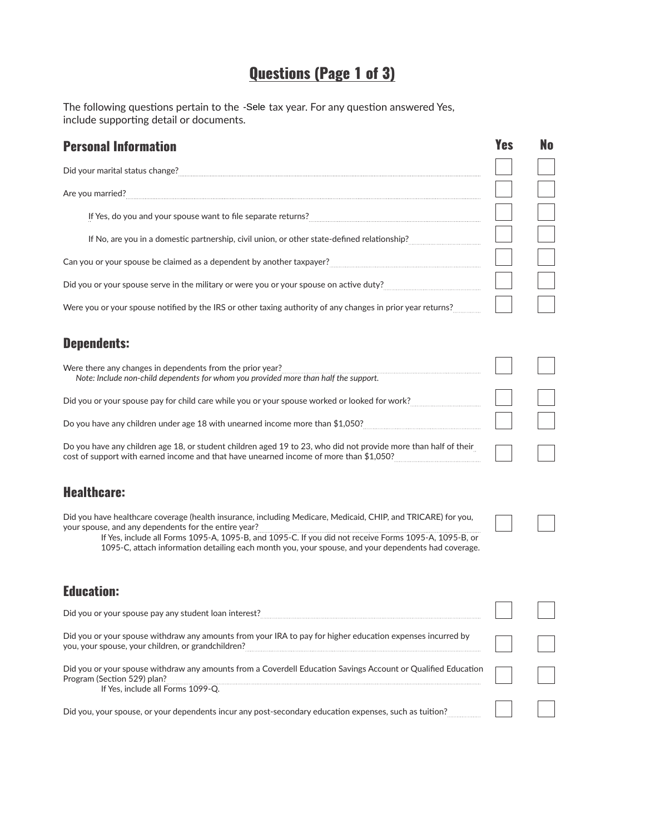# Questions (Page 1 of 3)

The following questions pertain to the -Sele tax year. For any question answered Yes, include supporting detail or documents.

| <b>Personal Information</b>                                                                                                                                                                                                                                                  | Yes | No |
|------------------------------------------------------------------------------------------------------------------------------------------------------------------------------------------------------------------------------------------------------------------------------|-----|----|
|                                                                                                                                                                                                                                                                              |     |    |
|                                                                                                                                                                                                                                                                              |     |    |
|                                                                                                                                                                                                                                                                              |     |    |
| If No, are you in a domestic partnership, civil union, or other state-defined relationship?                                                                                                                                                                                  |     |    |
| Can you or your spouse be claimed as a dependent by another taxpayer?<br>The summan manuscritic manuscritic manuscritic manuscritic manuscritic manuscritic manuscritic manuscritic                                                                                          |     |    |
| Did you or your spouse serve in the military or were you or your spouse on active duty?                                                                                                                                                                                      |     |    |
| Were you or your spouse notified by the IRS or other taxing authority of any changes in prior year returns?                                                                                                                                                                  |     |    |
| <b>Dependents:</b>                                                                                                                                                                                                                                                           |     |    |
| Were there any changes in dependents from the prior year?<br>Note: Include non-child dependents for whom you provided more than half the support.                                                                                                                            |     |    |
| Did you or your spouse pay for child care while you or your spouse worked or looked for work?                                                                                                                                                                                |     |    |
| Do you have any children under age 18 with unearned income more than \$1,050? [[[[[[[[[[[[[[[[[[[[[[[]]]]]]]]]                                                                                                                                                               |     |    |
| Do you have any children age 18, or student children aged 19 to 23, who did not provide more than half of their<br>cost of support with earned income and that have unearned income of more than \$1,050?                                                                    |     |    |
| <b>Healthcare:</b>                                                                                                                                                                                                                                                           |     |    |
| Did you have healthcare coverage (health insurance, including Medicare, Medicaid, CHIP, and TRICARE) for you,<br>your spouse, and any dependents for the entire year?<br>1095-C, attach information detailing each month you, your spouse, and your dependents had coverage. |     |    |
| <b>Education:</b>                                                                                                                                                                                                                                                            |     |    |
| Did you or your spouse pay any student loan interest?                                                                                                                                                                                                                        |     |    |
| Did you or your spouse withdraw any amounts from your IRA to pay for higher education expenses incurred by                                                                                                                                                                   |     |    |
| Did you or your spouse withdraw any amounts from a Coverdell Education Savings Account or Qualified Education<br>Program (Section 529) plan?<br>If Yes, include all Forms 1099-Q.                                                                                            |     |    |
| Did you, your spouse, or your dependents incur any post-secondary education expenses, such as tuition?                                                                                                                                                                       |     |    |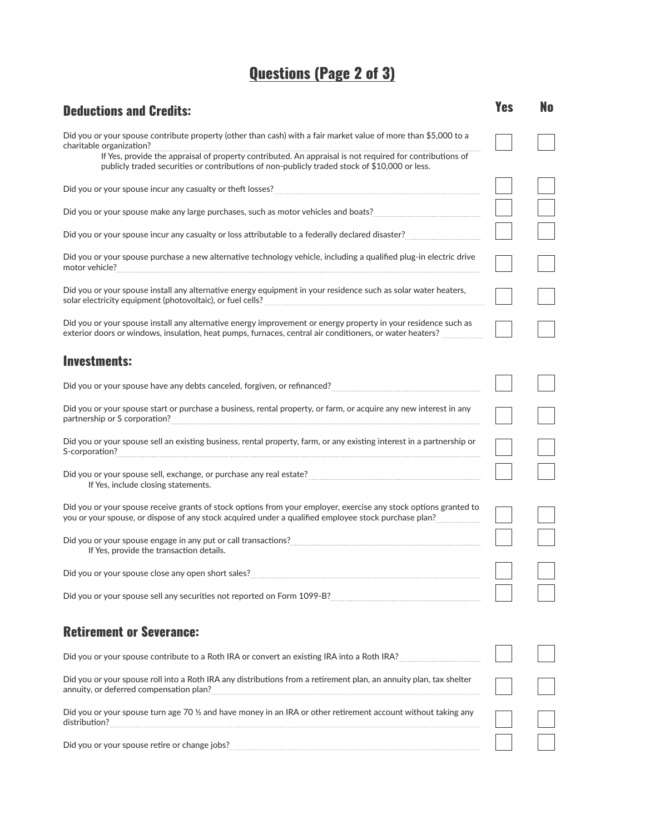# Questions (Page 2 of 3)

| <b>Deductions and Credits:</b>                                                                                                                                                                                                | Yes | No |
|-------------------------------------------------------------------------------------------------------------------------------------------------------------------------------------------------------------------------------|-----|----|
| Did you or your spouse contribute property (other than cash) with a fair market value of more than \$5,000 to a<br>charitable organization?                                                                                   |     |    |
| organization?<br>If Yes, provide the appraisal of property contributed. An appraisal is not required for contributions of<br>publicly traded securities or contributions of non-publicly traded stock of \$10,000 or less.    |     |    |
|                                                                                                                                                                                                                               |     |    |
| Did you or your spouse make any large purchases, such as motor vehicles and boats? [[11] Did you or your spouse make any large purchases, such as motor vehicles and boats? [11] Monday and the summary spouse was made to be |     |    |
| Did you or your spouse incur any casualty or loss attributable to a federally declared disaster?                                                                                                                              |     |    |
| Did you or your spouse purchase a new alternative technology vehicle, including a qualified plug-in electric drive<br>motor vehicle?                                                                                          |     |    |
| Did you or your spouse install any alternative energy equipment in your residence such as solar water heaters,                                                                                                                |     |    |
| Did you or your spouse install any alternative energy improvement or energy property in your residence such as<br>exterior doors or windows, insulation, heat pumps, furnaces, central air conditioners, or water heaters?    |     |    |
| <b>Investments:</b>                                                                                                                                                                                                           |     |    |
| Did you or your spouse have any debts canceled, forgiven, or refinanced?                                                                                                                                                      |     |    |
| Did you or your spouse start or purchase a business, rental property, or farm, or acquire any new interest in any<br>partnership or S corporation?                                                                            |     |    |
| Did you or your spouse sell an existing business, rental property, farm, or any existing interest in a partnership or                                                                                                         |     |    |
| If Yes, include closing statements.                                                                                                                                                                                           |     |    |
| Did you or your spouse receive grants of stock options from your employer, exercise any stock options granted to<br>you or your spouse, or dispose of any stock acquired under a qualified employee stock purchase plan?      |     |    |
| If Yes, provide the transaction details.                                                                                                                                                                                      |     |    |
| Did you or your spouse close any open short sales?                                                                                                                                                                            |     |    |
| Did you or your spouse sell any securities not reported on Form 1099-B?                                                                                                                                                       |     |    |
| <b>Retirement or Severance:</b>                                                                                                                                                                                               |     |    |
| Did you or your spouse contribute to a Roth IRA or convert an existing IRA into a Roth IRA?                                                                                                                                   |     |    |
| Did you or your spouse roll into a Roth IRA any distributions from a retirement plan, an annuity plan, tax shelter                                                                                                            |     |    |
| Did you or your spouse turn age 70 $\frac{1}{2}$ and have money in an IRA or other retirement account without taking any<br>distribution?                                                                                     |     |    |
|                                                                                                                                                                                                                               |     |    |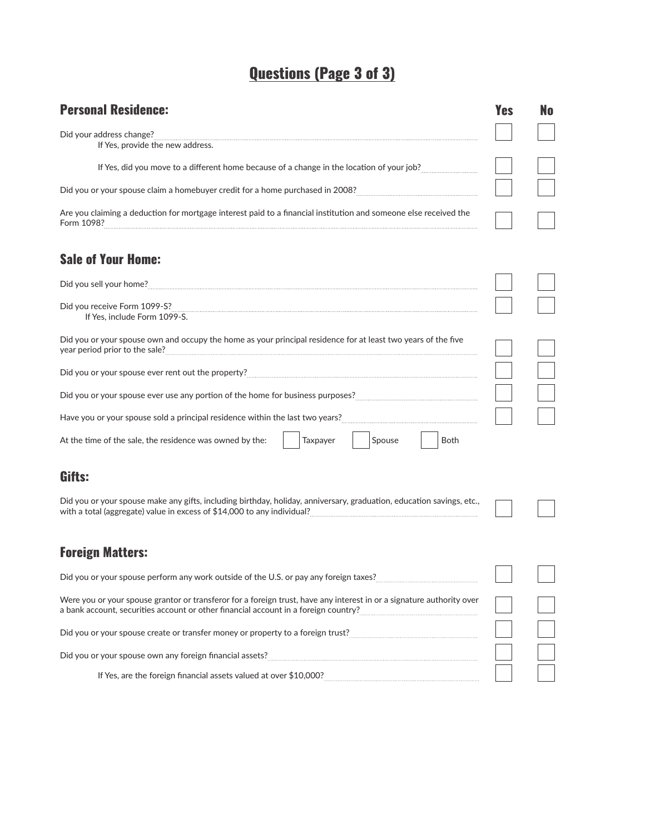# Questions (Page 3 of 3)

| <b>Personal Residence:</b>                                                                                                                                                                                                                    | Yes | No |
|-----------------------------------------------------------------------------------------------------------------------------------------------------------------------------------------------------------------------------------------------|-----|----|
| Did your address change?<br>If Yes, provide the new address.                                                                                                                                                                                  |     |    |
| If Yes, did you move to a different home because of a change in the location of your job?                                                                                                                                                     |     |    |
| Did you or your spouse claim a homebuyer credit for a home purchased in 2008?                                                                                                                                                                 |     |    |
| Are you claiming a deduction for mortgage interest paid to a financial institution and someone else received the                                                                                                                              |     |    |
| <b>Sale of Your Home:</b>                                                                                                                                                                                                                     |     |    |
|                                                                                                                                                                                                                                               |     |    |
| Did you receive Form 1099-S?<br>If Yes, include Form 1099-S.                                                                                                                                                                                  |     |    |
| Did you or your spouse own and occupy the home as your principal residence for at least two years of the five                                                                                                                                 |     |    |
|                                                                                                                                                                                                                                               |     |    |
|                                                                                                                                                                                                                                               |     |    |
|                                                                                                                                                                                                                                               |     |    |
| Spouse<br>At the time of the sale, the residence was owned by the:<br>Taxpayer<br><b>Both</b>                                                                                                                                                 |     |    |
| Gifts:                                                                                                                                                                                                                                        |     |    |
| Did you or your spouse make any gifts, including birthday, holiday, anniversary, graduation, education savings, etc.,                                                                                                                         |     |    |
| <b>Foreign Matters:</b>                                                                                                                                                                                                                       |     |    |
| Did you or your spouse perform any work outside of the U.S. or pay any foreign taxes?                                                                                                                                                         |     |    |
| Were you or your spouse grantor or transferor for a foreign trust, have any interest in or a signature authority over<br>a bank account, securities account or other financial account in a foreign country? [11] account account, securities |     |    |
| Did you or your spouse create or transfer money or property to a foreign trust?                                                                                                                                                               |     |    |
|                                                                                                                                                                                                                                               |     |    |
|                                                                                                                                                                                                                                               |     |    |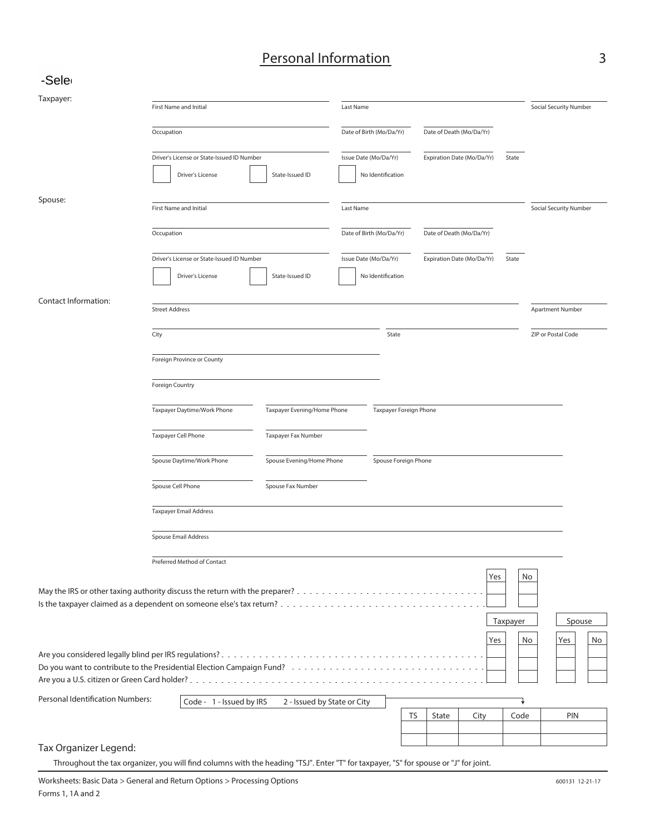# **Personal Information** 3

| -Sele                                   |                                            |                             |                                            |                        |                            |          |                               |
|-----------------------------------------|--------------------------------------------|-----------------------------|--------------------------------------------|------------------------|----------------------------|----------|-------------------------------|
| Taxpayer:                               | <b>First Name and Initial</b>              |                             | Last Name                                  |                        |                            |          | <b>Social Security Number</b> |
|                                         | Occupation                                 |                             | Date of Birth (Mo/Da/Yr)                   |                        | Date of Death (Mo/Da/Yr)   |          |                               |
|                                         | Driver's License or State-Issued ID Number |                             |                                            |                        |                            | State    |                               |
|                                         | Driver's License                           | State-Issued ID             | Issue Date (Mo/Da/Yr)<br>No Identification |                        | Expiration Date (Mo/Da/Yr) |          |                               |
| Spouse:                                 |                                            |                             |                                            |                        |                            |          |                               |
|                                         | <b>First Name and Initial</b>              |                             | Last Name                                  |                        |                            |          | Social Security Number        |
|                                         | Occupation                                 |                             | Date of Birth (Mo/Da/Yr)                   |                        | Date of Death (Mo/Da/Yr)   |          |                               |
|                                         | Driver's License or State-Issued ID Number |                             | Issue Date (Mo/Da/Yr)                      |                        | Expiration Date (Mo/Da/Yr) | State    |                               |
|                                         | Driver's License                           | State-Issued ID             | No Identification                          |                        |                            |          |                               |
| Contact Information:                    | <b>Street Address</b>                      |                             |                                            |                        |                            |          | Apartment Number              |
|                                         | City                                       |                             | State                                      |                        |                            |          | ZIP or Postal Code            |
|                                         |                                            |                             |                                            |                        |                            |          |                               |
|                                         | Foreign Province or County                 |                             |                                            |                        |                            |          |                               |
|                                         | Foreign Country                            |                             |                                            |                        |                            |          |                               |
|                                         | Taxpayer Daytime/Work Phone                | Taxpayer Evening/Home Phone |                                            | Taxpayer Foreign Phone |                            |          |                               |
|                                         | Taxpayer Cell Phone                        | Taxpayer Fax Number         |                                            |                        |                            |          |                               |
|                                         | Spouse Daytime/Work Phone                  | Spouse Evening/Home Phone   |                                            | Spouse Foreign Phone   |                            |          |                               |
|                                         | Spouse Cell Phone                          | Spouse Fax Number           |                                            |                        |                            |          |                               |
|                                         | <b>Taxpayer Email Address</b>              |                             |                                            |                        |                            |          |                               |
|                                         | <b>Spouse Email Address</b>                |                             |                                            |                        |                            |          |                               |
|                                         | Preferred Method of Contact                |                             |                                            |                        |                            |          |                               |
|                                         |                                            |                             |                                            |                        |                            | Yes      | No                            |
|                                         |                                            |                             |                                            |                        |                            |          |                               |
|                                         |                                            |                             |                                            |                        |                            | Taxpayer | Spouse                        |
|                                         |                                            |                             |                                            |                        |                            | Yes      | No<br>Yes<br>No               |
|                                         |                                            |                             |                                            |                        |                            |          |                               |
|                                         |                                            |                             |                                            |                        |                            |          |                               |
| <b>Personal Identification Numbers:</b> | Code - 1 - Issued by IRS                   | 2 - Issued by State or City |                                            | TS                     | State<br>City              | Code     | PIN                           |
|                                         |                                            |                             |                                            |                        |                            |          |                               |
| Tax Organizer Legend:                   |                                            |                             |                                            |                        |                            |          |                               |

Throughout the tax organizer, you will find columns with the heading "TSJ". Enter "T" for taxpayer, "S" for spouse or "J" for joint.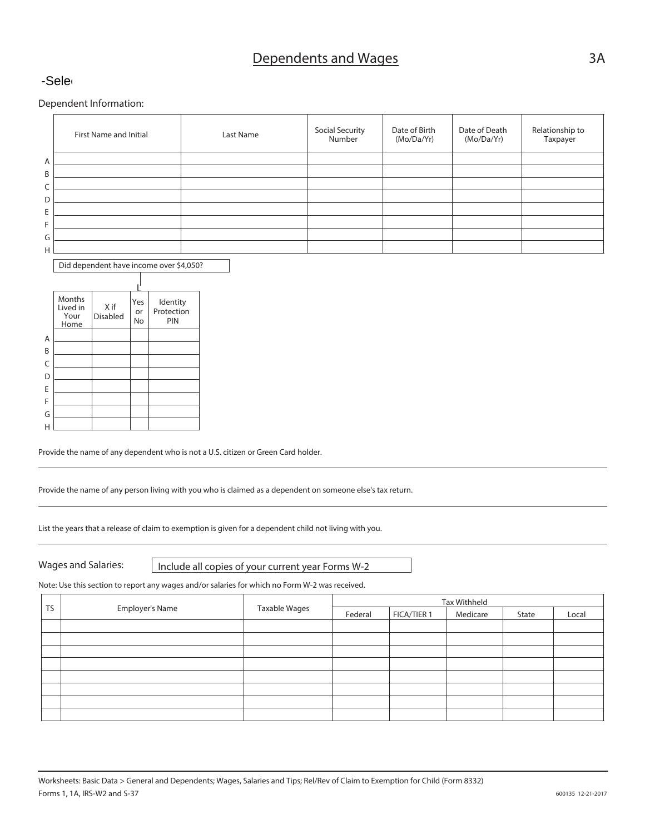# Dependents and Wages 3A

# -Select

Dependent Information:

|                | First Name and Initial                  | Last Name | <b>Social Security</b><br>Number | Date of Birth<br>(Mo/Da/Yr) | Date of Death<br>(Mo/Da/Yr) | Relationship to<br>Taxpayer |
|----------------|-----------------------------------------|-----------|----------------------------------|-----------------------------|-----------------------------|-----------------------------|
| $\overline{A}$ |                                         |           |                                  |                             |                             |                             |
| B              |                                         |           |                                  |                             |                             |                             |
|                |                                         |           |                                  |                             |                             |                             |
| D              |                                         |           |                                  |                             |                             |                             |
| E              |                                         |           |                                  |                             |                             |                             |
| F              |                                         |           |                                  |                             |                             |                             |
| G              |                                         |           |                                  |                             |                             |                             |
| Н              |                                         |           |                                  |                             |                             |                             |
|                | Did dependent have income over \$4.0502 |           |                                  |                             |                             |                             |



Provide the name of any dependent who is not a U.S. citizen or Green Card holder.

Provide the name of any person living with you who is claimed as a dependent on someone else's tax return.

List the years that a release of claim to exemption is given for a dependent child not living with you.

### Wages and Salaries: Include all copies of your current year Forms W-2

Note: Use this section to report any wages and/or salaries for which no Form W-2 was received.

|           |                 |               |         |                    | <b>Tax Withheld</b> |       |       |
|-----------|-----------------|---------------|---------|--------------------|---------------------|-------|-------|
| <b>TS</b> | Employer's Name | Taxable Wages | Federal | <b>FICA/TIER 1</b> | Medicare            | State | Local |
|           |                 |               |         |                    |                     |       |       |
|           |                 |               |         |                    |                     |       |       |
|           |                 |               |         |                    |                     |       |       |
|           |                 |               |         |                    |                     |       |       |
|           |                 |               |         |                    |                     |       |       |
|           |                 |               |         |                    |                     |       |       |
|           |                 |               |         |                    |                     |       |       |
|           |                 |               |         |                    |                     |       |       |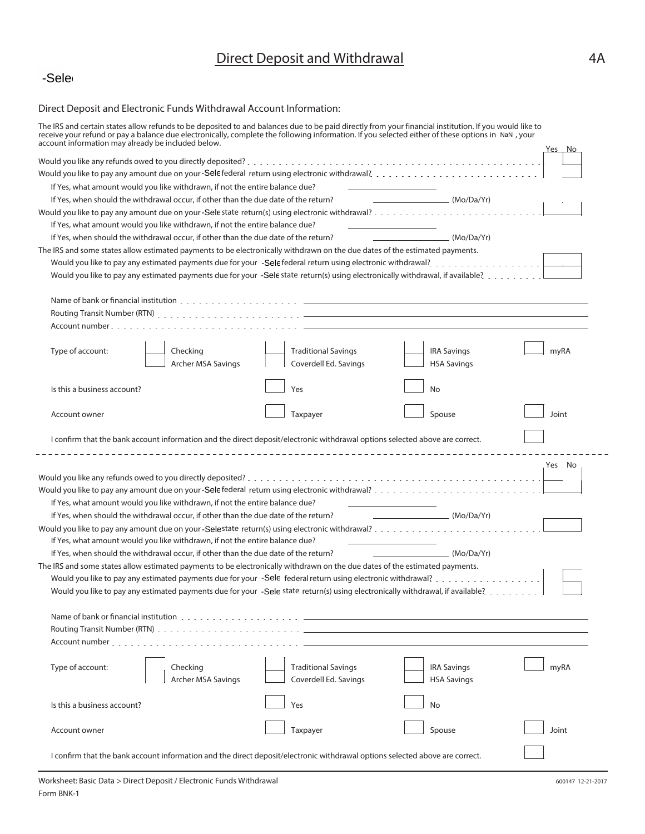# **Direct Deposit and Withdrawal 4A**

# -Sele

### Direct Deposit and Electronic Funds Withdrawal Account Information:

|                                                    | Direct Deposit and Electronic Funds Withdrawal Account Information:                                                                                                 |                                                                                                                              |                                                                                                                                                                                                                                |       |               |
|----------------------------------------------------|---------------------------------------------------------------------------------------------------------------------------------------------------------------------|------------------------------------------------------------------------------------------------------------------------------|--------------------------------------------------------------------------------------------------------------------------------------------------------------------------------------------------------------------------------|-------|---------------|
| account information may already be included below. |                                                                                                                                                                     |                                                                                                                              | The IRS and certain states allow refunds to be deposited to and balances due to be paid directly from your financial institution. If you would like to receive your refund or pay a balance due electronically, complete the f |       |               |
|                                                    |                                                                                                                                                                     |                                                                                                                              |                                                                                                                                                                                                                                |       | <u>Yes No</u> |
|                                                    |                                                                                                                                                                     |                                                                                                                              | Would you like to pay any amount due on your-Sele federal return using electronic withdrawal?<br>                                                                                                                              |       |               |
|                                                    | If Yes, what amount would you like withdrawn, if not the entire balance due?                                                                                        |                                                                                                                              |                                                                                                                                                                                                                                |       |               |
|                                                    | If Yes, when should the withdrawal occur, if other than the due date of the return?                                                                                 |                                                                                                                              | (Mo/Da/Yr)                                                                                                                                                                                                                     |       |               |
|                                                    |                                                                                                                                                                     |                                                                                                                              |                                                                                                                                                                                                                                |       |               |
|                                                    | If Yes, what amount would you like withdrawn, if not the entire balance due?                                                                                        |                                                                                                                              |                                                                                                                                                                                                                                |       |               |
|                                                    | If Yes, when should the withdrawal occur, if other than the due date of the return?                                                                                 |                                                                                                                              | (Mo/Da/Yr)                                                                                                                                                                                                                     |       |               |
|                                                    |                                                                                                                                                                     | The IRS and some states allow estimated payments to be electronically withdrawn on the due dates of the estimated payments.  |                                                                                                                                                                                                                                |       |               |
|                                                    |                                                                                                                                                                     |                                                                                                                              |                                                                                                                                                                                                                                |       |               |
|                                                    |                                                                                                                                                                     |                                                                                                                              | Would you like to pay any estimated payments due for your -Sele state return(s) using electronically withdrawal, if available?                                                                                                 |       |               |
|                                                    |                                                                                                                                                                     |                                                                                                                              |                                                                                                                                                                                                                                |       |               |
|                                                    |                                                                                                                                                                     |                                                                                                                              | Name of bank or financial institution enterity and the content of the content of the content of the content of                                                                                                                 |       |               |
|                                                    |                                                                                                                                                                     |                                                                                                                              |                                                                                                                                                                                                                                |       |               |
|                                                    |                                                                                                                                                                     |                                                                                                                              |                                                                                                                                                                                                                                |       |               |
| Type of account:                                   | Checking                                                                                                                                                            | <b>Traditional Savings</b>                                                                                                   | <b>IRA Savings</b>                                                                                                                                                                                                             | myRA  |               |
|                                                    | Archer MSA Savings                                                                                                                                                  | Coverdell Ed. Savings                                                                                                        | <b>HSA Savings</b>                                                                                                                                                                                                             |       |               |
|                                                    |                                                                                                                                                                     |                                                                                                                              |                                                                                                                                                                                                                                |       |               |
| Is this a business account?                        |                                                                                                                                                                     | Yes                                                                                                                          | <b>No</b>                                                                                                                                                                                                                      |       |               |
|                                                    |                                                                                                                                                                     |                                                                                                                              |                                                                                                                                                                                                                                |       |               |
|                                                    |                                                                                                                                                                     |                                                                                                                              |                                                                                                                                                                                                                                |       |               |
| Account owner                                      |                                                                                                                                                                     | Taxpayer                                                                                                                     | Spouse                                                                                                                                                                                                                         | Joint |               |
|                                                    |                                                                                                                                                                     | I confirm that the bank account information and the direct deposit/electronic withdrawal options selected above are correct. |                                                                                                                                                                                                                                |       |               |
|                                                    |                                                                                                                                                                     |                                                                                                                              |                                                                                                                                                                                                                                |       |               |
|                                                    |                                                                                                                                                                     |                                                                                                                              |                                                                                                                                                                                                                                |       |               |
|                                                    |                                                                                                                                                                     |                                                                                                                              |                                                                                                                                                                                                                                |       |               |
|                                                    |                                                                                                                                                                     |                                                                                                                              | Would you like to pay any amount due on your-Selefederal return using electronic withdrawal?<br>                                                                                                                               |       |               |
|                                                    | If Yes, what amount would you like withdrawn, if not the entire balance due?                                                                                        |                                                                                                                              |                                                                                                                                                                                                                                |       |               |
|                                                    |                                                                                                                                                                     | If Yes, when should the withdrawal occur, if other than the due date of the return?                                          | (Mo/Da/Yr)                                                                                                                                                                                                                     |       |               |
|                                                    |                                                                                                                                                                     | Would you like to pay any amount due on your-Selestate return(s) using electronic withdrawal?                                |                                                                                                                                                                                                                                |       | Yes No        |
|                                                    | If Yes, what amount would you like withdrawn, if not the entire balance due?<br>If Yes, when should the withdrawal occur, if other than the due date of the return? |                                                                                                                              | (Mo/Da/Yr)                                                                                                                                                                                                                     |       |               |
|                                                    |                                                                                                                                                                     | The IRS and some states allow estimated payments to be electronically withdrawn on the due dates of the estimated payments.  |                                                                                                                                                                                                                                |       |               |
|                                                    |                                                                                                                                                                     |                                                                                                                              |                                                                                                                                                                                                                                |       |               |
|                                                    |                                                                                                                                                                     |                                                                                                                              | Would you like to pay any estimated payments due for your -Sele state return(s) using electronically withdrawal, if available?                                                                                                 |       |               |
|                                                    |                                                                                                                                                                     |                                                                                                                              |                                                                                                                                                                                                                                |       |               |
|                                                    |                                                                                                                                                                     |                                                                                                                              |                                                                                                                                                                                                                                |       |               |
|                                                    |                                                                                                                                                                     |                                                                                                                              |                                                                                                                                                                                                                                |       |               |
|                                                    |                                                                                                                                                                     |                                                                                                                              |                                                                                                                                                                                                                                |       |               |
|                                                    |                                                                                                                                                                     |                                                                                                                              |                                                                                                                                                                                                                                |       |               |
| Type of account:                                   | Checking                                                                                                                                                            | <b>Traditional Savings</b>                                                                                                   | <b>IRA Savings</b>                                                                                                                                                                                                             | myRA  |               |
|                                                    | Archer MSA Savings                                                                                                                                                  | Coverdell Ed. Savings                                                                                                        | <b>HSA Savings</b>                                                                                                                                                                                                             |       |               |
|                                                    |                                                                                                                                                                     |                                                                                                                              |                                                                                                                                                                                                                                |       |               |
| Is this a business account?                        |                                                                                                                                                                     | Yes                                                                                                                          | No                                                                                                                                                                                                                             |       |               |
| Account owner                                      |                                                                                                                                                                     | Taxpayer                                                                                                                     | Spouse                                                                                                                                                                                                                         | Joint |               |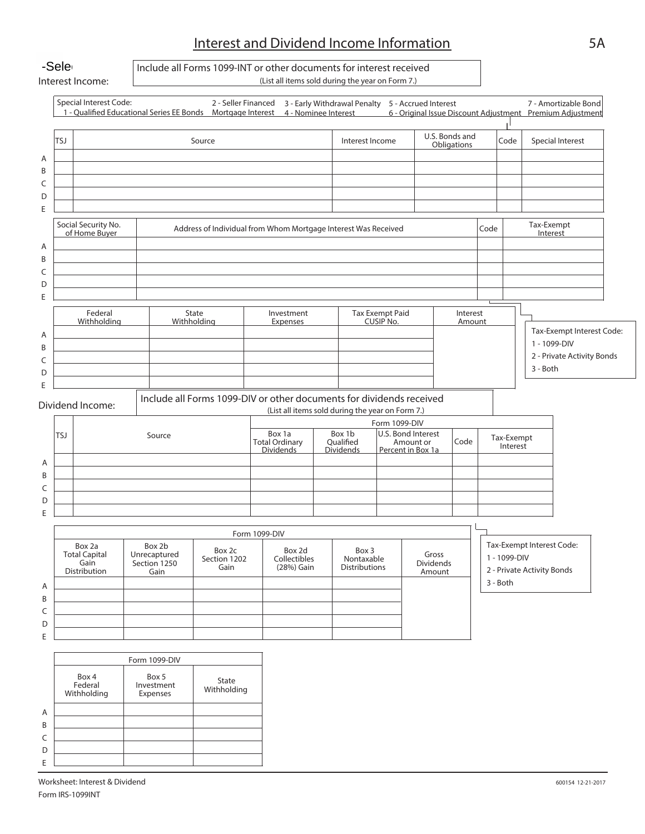# Interest and Dividend Income Information 5A

| -Sele |  |
|-------|--|

Interest Income:

(List all items sold during the year on Form 7.) Include all Forms 1099-INT or other documents for interest received

|                      | Special Interest Code:                                 |  |                                                | 2 - Seller Financed<br>1 - Qualified Educational Series EE Bonds    Mortgage Interest | 4 - Nominee Interest                                                                                                     | 3 - Early Withdrawal Penalty                |                                     | 5 - Accrued Interest            |                               |      |                          |                                                         | 7 - Amortizable Bond<br>6 - Original Issue Discount Adjustment Premium Adjustment |  |
|----------------------|--------------------------------------------------------|--|------------------------------------------------|---------------------------------------------------------------------------------------|--------------------------------------------------------------------------------------------------------------------------|---------------------------------------------|-------------------------------------|---------------------------------|-------------------------------|------|--------------------------|---------------------------------------------------------|-----------------------------------------------------------------------------------|--|
| <b>TSJ</b><br>Source |                                                        |  |                                                |                                                                                       |                                                                                                                          | Interest Income                             |                                     |                                 | U.S. Bonds and<br>Obligations | Code |                          |                                                         | Special Interest                                                                  |  |
|                      |                                                        |  |                                                |                                                                                       |                                                                                                                          |                                             |                                     |                                 |                               |      |                          |                                                         |                                                                                   |  |
|                      |                                                        |  |                                                |                                                                                       |                                                                                                                          |                                             |                                     |                                 |                               |      |                          |                                                         |                                                                                   |  |
|                      | Social Security No.<br>of Home Buyer                   |  |                                                |                                                                                       | Address of Individual from Whom Mortgage Interest Was Received                                                           |                                             |                                     |                                 |                               | Code |                          | Tax-Exempt<br>Interest                                  |                                                                                   |  |
|                      |                                                        |  |                                                |                                                                                       |                                                                                                                          |                                             |                                     |                                 |                               |      |                          |                                                         |                                                                                   |  |
|                      |                                                        |  |                                                |                                                                                       |                                                                                                                          |                                             |                                     |                                 |                               |      |                          |                                                         |                                                                                   |  |
|                      | Federal<br>Withholding                                 |  |                                                | State<br>Withholding                                                                  | Investment<br><b>Expenses</b>                                                                                            |                                             | <b>Tax Exempt Paid</b><br>CUSIP No. |                                 | Interest<br>Amount            |      |                          | 1 - 1099-DIV<br>3 - Both                                | Tax-Exempt Interest Code:<br>2 - Private Activity Bonds                           |  |
|                      | Dividend Income:                                       |  |                                                |                                                                                       | Include all Forms 1099-DIV or other documents for dividends received<br>(List all items sold during the year on Form 7.) |                                             |                                     |                                 |                               |      |                          |                                                         |                                                                                   |  |
| TSJ                  |                                                        |  | Source                                         |                                                                                       | Box 1a<br><b>Total Ordinary</b><br>Dividends                                                                             | Box 1b<br>Qualified<br><b>Dividends</b>     | Form 1099-DIV<br>Percent in Box 1a  | U.S. Bond Interest<br>Amount or | Code                          |      | Tax-Exempt<br>Interest   |                                                         |                                                                                   |  |
|                      |                                                        |  |                                                |                                                                                       |                                                                                                                          |                                             |                                     |                                 |                               |      |                          |                                                         |                                                                                   |  |
|                      |                                                        |  |                                                |                                                                                       | Form 1099-DIV                                                                                                            |                                             |                                     |                                 |                               |      |                          |                                                         |                                                                                   |  |
|                      | Box 2a<br><b>Total Capital</b><br>Gain<br>Distribution |  | Box 2b<br>Unrecaptured<br>Section 1250<br>Gain | Box 2c<br>Section 1202<br>Gain                                                        | Box 2d<br>$\label{thm:1} Collectibles$<br>(28%) Gain                                                                     | Box 3<br>Nontaxable<br><b>Distributions</b> |                                     | Gross<br>Dividends<br>Amount    |                               |      | 1 - 1099-DIV<br>3 - Both | Tax-Exempt Interest Code:<br>2 - Private Activity Bonds |                                                                                   |  |
|                      |                                                        |  |                                                |                                                                                       |                                                                                                                          |                                             |                                     |                                 |                               |      |                          |                                                         |                                                                                   |  |
|                      |                                                        |  |                                                |                                                                                       |                                                                                                                          |                                             |                                     |                                 |                               |      |                          |                                                         |                                                                                   |  |
|                      |                                                        |  |                                                |                                                                                       |                                                                                                                          |                                             |                                     |                                 |                               |      |                          |                                                         |                                                                                   |  |

|   | Box 4<br>Federal<br>Withholding | Box 5<br>Investment<br>Expenses | <b>State</b><br>Withholding |
|---|---------------------------------|---------------------------------|-----------------------------|
| A |                                 |                                 |                             |
| B |                                 |                                 |                             |
| C |                                 |                                 |                             |
| D |                                 |                                 |                             |
|   |                                 |                                 |                             |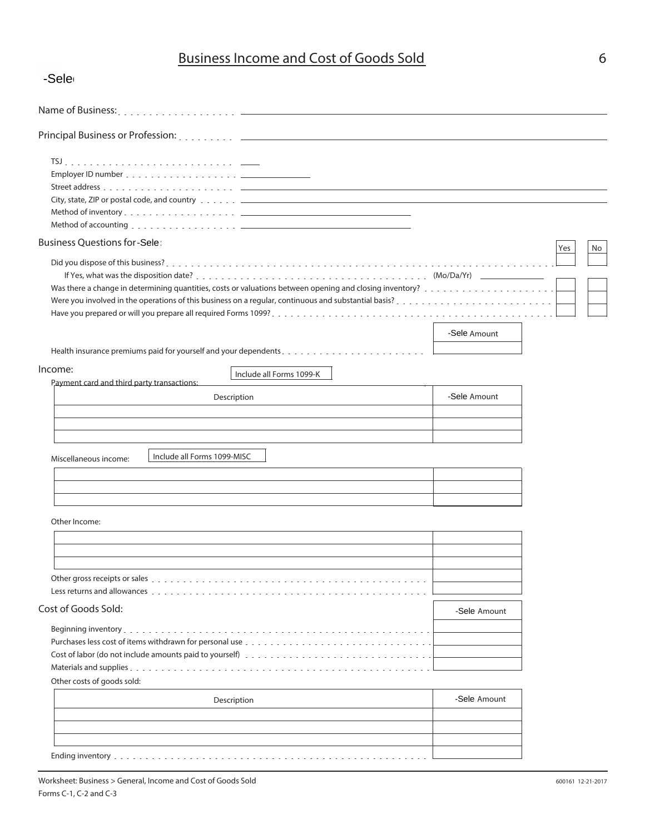# Business Income and Cost of Goods Sold 6

| -Sele                                                                                                                                                                                                                                                                                                                                                                                                                                                           |              |           |
|-----------------------------------------------------------------------------------------------------------------------------------------------------------------------------------------------------------------------------------------------------------------------------------------------------------------------------------------------------------------------------------------------------------------------------------------------------------------|--------------|-----------|
|                                                                                                                                                                                                                                                                                                                                                                                                                                                                 |              |           |
|                                                                                                                                                                                                                                                                                                                                                                                                                                                                 |              |           |
| City, state, ZIP or postal code, and country entering the control of the control of the control of the control of the control of the control of the control of the control of the control of the control of the control of the                                                                                                                                                                                                                                  |              |           |
| <b>Business Questions for-Sele:</b>                                                                                                                                                                                                                                                                                                                                                                                                                             |              | Yes<br>No |
|                                                                                                                                                                                                                                                                                                                                                                                                                                                                 |              |           |
|                                                                                                                                                                                                                                                                                                                                                                                                                                                                 | -Sele Amount |           |
|                                                                                                                                                                                                                                                                                                                                                                                                                                                                 |              |           |
| Income:<br>Include all Forms 1099-K                                                                                                                                                                                                                                                                                                                                                                                                                             |              |           |
| Payment card and third party transactions:<br>Description                                                                                                                                                                                                                                                                                                                                                                                                       | -Sele Amount |           |
|                                                                                                                                                                                                                                                                                                                                                                                                                                                                 |              |           |
|                                                                                                                                                                                                                                                                                                                                                                                                                                                                 |              |           |
| Include all Forms 1099-MISC<br>Miscellaneous income:                                                                                                                                                                                                                                                                                                                                                                                                            |              |           |
| Other Income:                                                                                                                                                                                                                                                                                                                                                                                                                                                   |              |           |
|                                                                                                                                                                                                                                                                                                                                                                                                                                                                 |              |           |
| Other gross receipts or sales end and account of the contract of the contract of the contract of the contract of the contract of the contract of the contract of the contract of the contract of the contract of the contract<br>Less returns and allowances by contact of the contract of the contact of the contact of the contact of the contact of the contact of the contact of the contact of the contact of the contact of the contact of the contact of |              |           |
| Cost of Goods Sold:                                                                                                                                                                                                                                                                                                                                                                                                                                             | -Sele Amount |           |
| Cost of labor (do not include amounts paid to yourself)<br>Materials and supplies<br>Other costs of goods sold:                                                                                                                                                                                                                                                                                                                                                 |              |           |
| Description                                                                                                                                                                                                                                                                                                                                                                                                                                                     | -Sele Amount |           |
|                                                                                                                                                                                                                                                                                                                                                                                                                                                                 |              |           |
|                                                                                                                                                                                                                                                                                                                                                                                                                                                                 |              |           |
|                                                                                                                                                                                                                                                                                                                                                                                                                                                                 |              |           |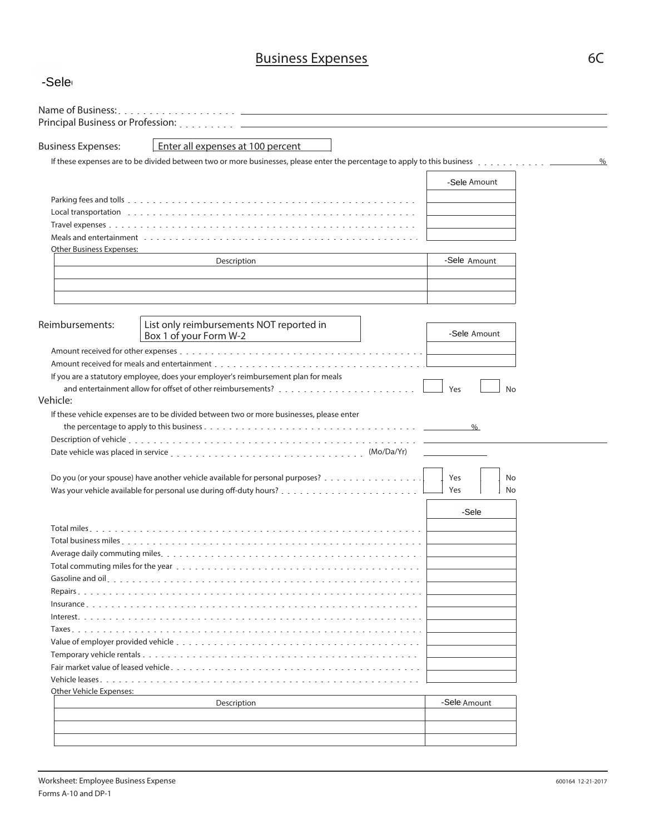# Business Expenses **6C**

| Enter all expenses at 100 percent<br>-Sele Amount<br>Local transportation (b) by the contract of the contract of the contract of the contract of the contract of the contract of the contract of the contract of the contract of the contract of the contract of the contract of th<br>Meals and entertainment experience and contained a series and contained a series and contained a series of the<br><b>Other Business Expenses:</b><br>-Sele Amount<br>Description<br>Reimbursements:<br>List only reimbursements NOT reported in<br>-Sele Amount<br>Box 1 of your Form W-2<br>If you are a statutory employee, does your employer's reimbursement plan for meals<br>and entertainment allow for offset of other reimbursements? $\ldots$ , $\ldots$ , $\ldots$ , $\ldots$ , $\ldots$ , $\ldots$<br>Yes<br>No<br>Vehicle:<br>If these vehicle expenses are to be divided between two or more businesses, please enter<br>$\%$<br>Yes<br>Do you (or your spouse) have another vehicle available for personal purposes?<br>No<br>Yes<br>No<br>-Sele<br>Average daily commuting miles. In property of the contract of the contract of the contract of the contract of<br>Gasoline and oil<br>Repairs.<br>Insurance and a series of the series of the<br>Interest<br>Taxes.<br>Temporary vehicle rentals<br>Vehicle leases.<br>Other Vehicle Expenses:<br>-Sele Amount<br>Description | Name of Business:         |  |  |  |
|----------------------------------------------------------------------------------------------------------------------------------------------------------------------------------------------------------------------------------------------------------------------------------------------------------------------------------------------------------------------------------------------------------------------------------------------------------------------------------------------------------------------------------------------------------------------------------------------------------------------------------------------------------------------------------------------------------------------------------------------------------------------------------------------------------------------------------------------------------------------------------------------------------------------------------------------------------------------------------------------------------------------------------------------------------------------------------------------------------------------------------------------------------------------------------------------------------------------------------------------------------------------------------------------------------------------------------------------------------------------------------------|---------------------------|--|--|--|
|                                                                                                                                                                                                                                                                                                                                                                                                                                                                                                                                                                                                                                                                                                                                                                                                                                                                                                                                                                                                                                                                                                                                                                                                                                                                                                                                                                                        | <b>Business Expenses:</b> |  |  |  |
|                                                                                                                                                                                                                                                                                                                                                                                                                                                                                                                                                                                                                                                                                                                                                                                                                                                                                                                                                                                                                                                                                                                                                                                                                                                                                                                                                                                        |                           |  |  |  |
|                                                                                                                                                                                                                                                                                                                                                                                                                                                                                                                                                                                                                                                                                                                                                                                                                                                                                                                                                                                                                                                                                                                                                                                                                                                                                                                                                                                        |                           |  |  |  |
|                                                                                                                                                                                                                                                                                                                                                                                                                                                                                                                                                                                                                                                                                                                                                                                                                                                                                                                                                                                                                                                                                                                                                                                                                                                                                                                                                                                        |                           |  |  |  |
|                                                                                                                                                                                                                                                                                                                                                                                                                                                                                                                                                                                                                                                                                                                                                                                                                                                                                                                                                                                                                                                                                                                                                                                                                                                                                                                                                                                        |                           |  |  |  |
|                                                                                                                                                                                                                                                                                                                                                                                                                                                                                                                                                                                                                                                                                                                                                                                                                                                                                                                                                                                                                                                                                                                                                                                                                                                                                                                                                                                        |                           |  |  |  |
|                                                                                                                                                                                                                                                                                                                                                                                                                                                                                                                                                                                                                                                                                                                                                                                                                                                                                                                                                                                                                                                                                                                                                                                                                                                                                                                                                                                        |                           |  |  |  |
|                                                                                                                                                                                                                                                                                                                                                                                                                                                                                                                                                                                                                                                                                                                                                                                                                                                                                                                                                                                                                                                                                                                                                                                                                                                                                                                                                                                        |                           |  |  |  |
|                                                                                                                                                                                                                                                                                                                                                                                                                                                                                                                                                                                                                                                                                                                                                                                                                                                                                                                                                                                                                                                                                                                                                                                                                                                                                                                                                                                        |                           |  |  |  |
|                                                                                                                                                                                                                                                                                                                                                                                                                                                                                                                                                                                                                                                                                                                                                                                                                                                                                                                                                                                                                                                                                                                                                                                                                                                                                                                                                                                        |                           |  |  |  |
|                                                                                                                                                                                                                                                                                                                                                                                                                                                                                                                                                                                                                                                                                                                                                                                                                                                                                                                                                                                                                                                                                                                                                                                                                                                                                                                                                                                        |                           |  |  |  |
|                                                                                                                                                                                                                                                                                                                                                                                                                                                                                                                                                                                                                                                                                                                                                                                                                                                                                                                                                                                                                                                                                                                                                                                                                                                                                                                                                                                        |                           |  |  |  |
|                                                                                                                                                                                                                                                                                                                                                                                                                                                                                                                                                                                                                                                                                                                                                                                                                                                                                                                                                                                                                                                                                                                                                                                                                                                                                                                                                                                        |                           |  |  |  |
|                                                                                                                                                                                                                                                                                                                                                                                                                                                                                                                                                                                                                                                                                                                                                                                                                                                                                                                                                                                                                                                                                                                                                                                                                                                                                                                                                                                        |                           |  |  |  |
|                                                                                                                                                                                                                                                                                                                                                                                                                                                                                                                                                                                                                                                                                                                                                                                                                                                                                                                                                                                                                                                                                                                                                                                                                                                                                                                                                                                        |                           |  |  |  |
|                                                                                                                                                                                                                                                                                                                                                                                                                                                                                                                                                                                                                                                                                                                                                                                                                                                                                                                                                                                                                                                                                                                                                                                                                                                                                                                                                                                        |                           |  |  |  |
|                                                                                                                                                                                                                                                                                                                                                                                                                                                                                                                                                                                                                                                                                                                                                                                                                                                                                                                                                                                                                                                                                                                                                                                                                                                                                                                                                                                        |                           |  |  |  |
|                                                                                                                                                                                                                                                                                                                                                                                                                                                                                                                                                                                                                                                                                                                                                                                                                                                                                                                                                                                                                                                                                                                                                                                                                                                                                                                                                                                        |                           |  |  |  |
|                                                                                                                                                                                                                                                                                                                                                                                                                                                                                                                                                                                                                                                                                                                                                                                                                                                                                                                                                                                                                                                                                                                                                                                                                                                                                                                                                                                        |                           |  |  |  |
|                                                                                                                                                                                                                                                                                                                                                                                                                                                                                                                                                                                                                                                                                                                                                                                                                                                                                                                                                                                                                                                                                                                                                                                                                                                                                                                                                                                        |                           |  |  |  |
|                                                                                                                                                                                                                                                                                                                                                                                                                                                                                                                                                                                                                                                                                                                                                                                                                                                                                                                                                                                                                                                                                                                                                                                                                                                                                                                                                                                        |                           |  |  |  |
|                                                                                                                                                                                                                                                                                                                                                                                                                                                                                                                                                                                                                                                                                                                                                                                                                                                                                                                                                                                                                                                                                                                                                                                                                                                                                                                                                                                        |                           |  |  |  |
|                                                                                                                                                                                                                                                                                                                                                                                                                                                                                                                                                                                                                                                                                                                                                                                                                                                                                                                                                                                                                                                                                                                                                                                                                                                                                                                                                                                        |                           |  |  |  |
|                                                                                                                                                                                                                                                                                                                                                                                                                                                                                                                                                                                                                                                                                                                                                                                                                                                                                                                                                                                                                                                                                                                                                                                                                                                                                                                                                                                        |                           |  |  |  |
|                                                                                                                                                                                                                                                                                                                                                                                                                                                                                                                                                                                                                                                                                                                                                                                                                                                                                                                                                                                                                                                                                                                                                                                                                                                                                                                                                                                        |                           |  |  |  |
|                                                                                                                                                                                                                                                                                                                                                                                                                                                                                                                                                                                                                                                                                                                                                                                                                                                                                                                                                                                                                                                                                                                                                                                                                                                                                                                                                                                        |                           |  |  |  |
|                                                                                                                                                                                                                                                                                                                                                                                                                                                                                                                                                                                                                                                                                                                                                                                                                                                                                                                                                                                                                                                                                                                                                                                                                                                                                                                                                                                        |                           |  |  |  |
|                                                                                                                                                                                                                                                                                                                                                                                                                                                                                                                                                                                                                                                                                                                                                                                                                                                                                                                                                                                                                                                                                                                                                                                                                                                                                                                                                                                        |                           |  |  |  |
|                                                                                                                                                                                                                                                                                                                                                                                                                                                                                                                                                                                                                                                                                                                                                                                                                                                                                                                                                                                                                                                                                                                                                                                                                                                                                                                                                                                        |                           |  |  |  |
|                                                                                                                                                                                                                                                                                                                                                                                                                                                                                                                                                                                                                                                                                                                                                                                                                                                                                                                                                                                                                                                                                                                                                                                                                                                                                                                                                                                        |                           |  |  |  |
|                                                                                                                                                                                                                                                                                                                                                                                                                                                                                                                                                                                                                                                                                                                                                                                                                                                                                                                                                                                                                                                                                                                                                                                                                                                                                                                                                                                        |                           |  |  |  |
|                                                                                                                                                                                                                                                                                                                                                                                                                                                                                                                                                                                                                                                                                                                                                                                                                                                                                                                                                                                                                                                                                                                                                                                                                                                                                                                                                                                        |                           |  |  |  |
|                                                                                                                                                                                                                                                                                                                                                                                                                                                                                                                                                                                                                                                                                                                                                                                                                                                                                                                                                                                                                                                                                                                                                                                                                                                                                                                                                                                        |                           |  |  |  |
|                                                                                                                                                                                                                                                                                                                                                                                                                                                                                                                                                                                                                                                                                                                                                                                                                                                                                                                                                                                                                                                                                                                                                                                                                                                                                                                                                                                        |                           |  |  |  |
|                                                                                                                                                                                                                                                                                                                                                                                                                                                                                                                                                                                                                                                                                                                                                                                                                                                                                                                                                                                                                                                                                                                                                                                                                                                                                                                                                                                        |                           |  |  |  |
|                                                                                                                                                                                                                                                                                                                                                                                                                                                                                                                                                                                                                                                                                                                                                                                                                                                                                                                                                                                                                                                                                                                                                                                                                                                                                                                                                                                        |                           |  |  |  |
|                                                                                                                                                                                                                                                                                                                                                                                                                                                                                                                                                                                                                                                                                                                                                                                                                                                                                                                                                                                                                                                                                                                                                                                                                                                                                                                                                                                        |                           |  |  |  |
|                                                                                                                                                                                                                                                                                                                                                                                                                                                                                                                                                                                                                                                                                                                                                                                                                                                                                                                                                                                                                                                                                                                                                                                                                                                                                                                                                                                        |                           |  |  |  |
|                                                                                                                                                                                                                                                                                                                                                                                                                                                                                                                                                                                                                                                                                                                                                                                                                                                                                                                                                                                                                                                                                                                                                                                                                                                                                                                                                                                        |                           |  |  |  |
|                                                                                                                                                                                                                                                                                                                                                                                                                                                                                                                                                                                                                                                                                                                                                                                                                                                                                                                                                                                                                                                                                                                                                                                                                                                                                                                                                                                        |                           |  |  |  |
|                                                                                                                                                                                                                                                                                                                                                                                                                                                                                                                                                                                                                                                                                                                                                                                                                                                                                                                                                                                                                                                                                                                                                                                                                                                                                                                                                                                        |                           |  |  |  |
|                                                                                                                                                                                                                                                                                                                                                                                                                                                                                                                                                                                                                                                                                                                                                                                                                                                                                                                                                                                                                                                                                                                                                                                                                                                                                                                                                                                        |                           |  |  |  |
|                                                                                                                                                                                                                                                                                                                                                                                                                                                                                                                                                                                                                                                                                                                                                                                                                                                                                                                                                                                                                                                                                                                                                                                                                                                                                                                                                                                        |                           |  |  |  |
|                                                                                                                                                                                                                                                                                                                                                                                                                                                                                                                                                                                                                                                                                                                                                                                                                                                                                                                                                                                                                                                                                                                                                                                                                                                                                                                                                                                        |                           |  |  |  |
|                                                                                                                                                                                                                                                                                                                                                                                                                                                                                                                                                                                                                                                                                                                                                                                                                                                                                                                                                                                                                                                                                                                                                                                                                                                                                                                                                                                        |                           |  |  |  |
|                                                                                                                                                                                                                                                                                                                                                                                                                                                                                                                                                                                                                                                                                                                                                                                                                                                                                                                                                                                                                                                                                                                                                                                                                                                                                                                                                                                        |                           |  |  |  |
|                                                                                                                                                                                                                                                                                                                                                                                                                                                                                                                                                                                                                                                                                                                                                                                                                                                                                                                                                                                                                                                                                                                                                                                                                                                                                                                                                                                        |                           |  |  |  |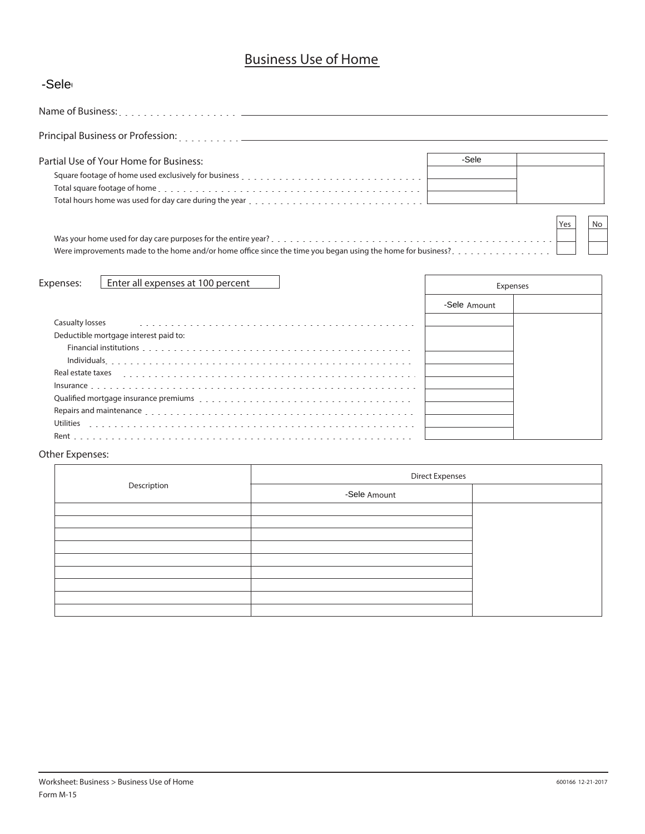# Business Use of Home

| -Sele                                                                                                                                                                                                                          |                                                |           |
|--------------------------------------------------------------------------------------------------------------------------------------------------------------------------------------------------------------------------------|------------------------------------------------|-----------|
|                                                                                                                                                                                                                                |                                                |           |
|                                                                                                                                                                                                                                |                                                |           |
| Partial Use of Your Home for Business:                                                                                                                                                                                         | -Sele                                          |           |
|                                                                                                                                                                                                                                |                                                |           |
| Total square footage of home entity and account of the contract of the contract of the contract of the contract of the contract of the contract of the contract of the contract of the contract of the contract of the contrac |                                                |           |
|                                                                                                                                                                                                                                |                                                |           |
| Were improvements made to the home and/or home office since the time you began using the home for business?                                                                                                                    |                                                | Yes<br>No |
| Enter all expenses at 100 percent<br>Expenses:                                                                                                                                                                                 | Expenses<br>$\sim$ $\sim$ $\sim$ $\sim$ $\sim$ |           |

|                                                                                                                                                                                                                                  | -Sele Amount |  |
|----------------------------------------------------------------------------------------------------------------------------------------------------------------------------------------------------------------------------------|--------------|--|
| Casualty losses                                                                                                                                                                                                                  |              |  |
| Deductible mortgage interest paid to:                                                                                                                                                                                            |              |  |
|                                                                                                                                                                                                                                  |              |  |
|                                                                                                                                                                                                                                  |              |  |
| Real estate taxes and the contract of the contract of the contract of the contract of the contract of the contract of the contract of the contract of the contract of the contract of the contract of the contract of the cont   |              |  |
|                                                                                                                                                                                                                                  |              |  |
| Qualified mortgage insurance premiums<br>elections interactions interactions interactions interactions interactions interactions interactions interactions interactions interactions interactions interactions interactions inte |              |  |
| Repairs and maintenance entries and the contract of the contract of the contract of the contract of the contract of the contract of the contract of the contract of the contract of the contract of the contract of the contra   |              |  |
| Utilities                                                                                                                                                                                                                        |              |  |
| Rent                                                                                                                                                                                                                             |              |  |

### Other Expenses:

| Description | <b>Direct Expenses</b> |  |
|-------------|------------------------|--|
|             | -Sele Amount           |  |
|             |                        |  |
|             |                        |  |
|             |                        |  |
|             |                        |  |
|             |                        |  |
|             |                        |  |
|             |                        |  |
|             |                        |  |
|             |                        |  |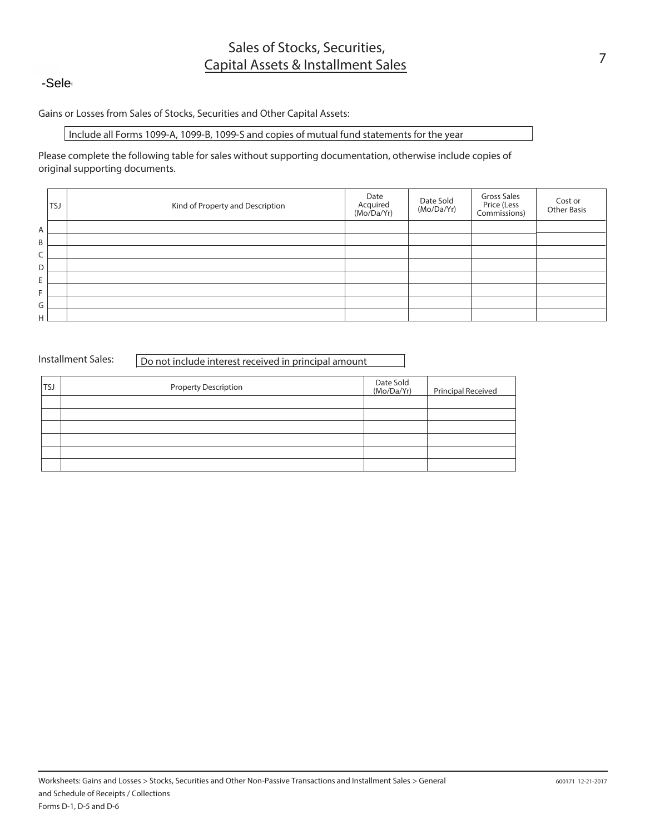### -Select year-

Gains or Losses from Sales of Stocks, Securities and Other Capital Assets:

Include all Forms 1099-A, 1099-B, 1099-S and copies of mutual fund statements for the year

Please complete the following table for sales without supporting documentation, otherwise include copies of original supporting documents.

|    | <b>TSJ</b> | Kind of Property and Description | Date<br>Acquired<br>(Mo/Da/Yr) | Date Sold<br>(Mo/Da/Yr) | <b>Gross Sales</b><br>Price (Less<br>Commissions) | Cost or<br>Other Basis |
|----|------------|----------------------------------|--------------------------------|-------------------------|---------------------------------------------------|------------------------|
| Α  |            |                                  |                                |                         |                                                   |                        |
| B  |            |                                  |                                |                         |                                                   |                        |
| C  |            |                                  |                                |                         |                                                   |                        |
| D  |            |                                  |                                |                         |                                                   |                        |
| E  |            |                                  |                                |                         |                                                   |                        |
| F. |            |                                  |                                |                         |                                                   |                        |
| G  |            |                                  |                                |                         |                                                   |                        |
| H  |            |                                  |                                |                         |                                                   |                        |

Installment Sales: Do not include interest received in principal amount

| <b>TSJ</b> | <b>Property Description</b> | Date Sold<br>(Mo/Da/Yr) | <b>Principal Received</b> |
|------------|-----------------------------|-------------------------|---------------------------|
|            |                             |                         |                           |
|            |                             |                         |                           |
|            |                             |                         |                           |
|            |                             |                         |                           |
|            |                             |                         |                           |
|            |                             |                         |                           |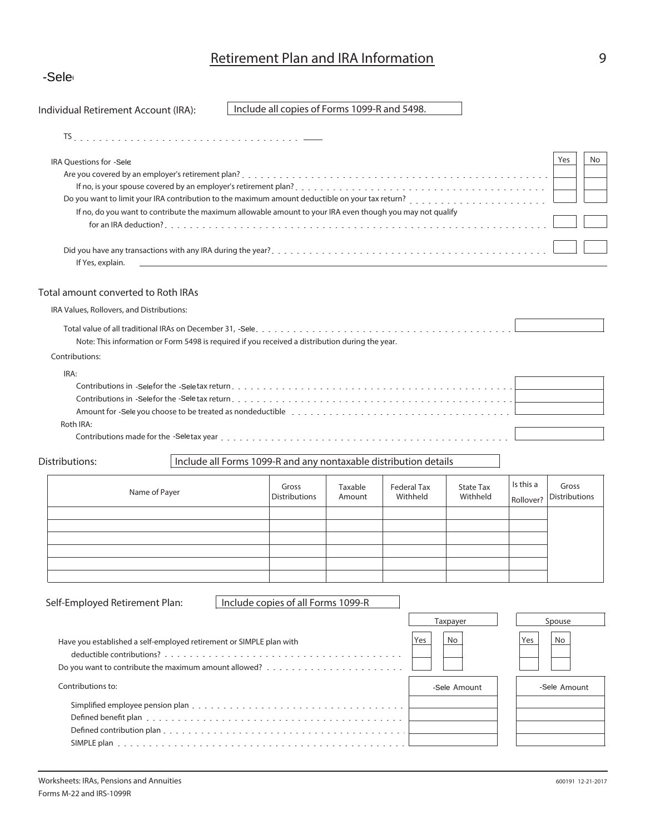# Retirement Plan and IRA Information **9** 9

| Individual Retirement Account (IRA):                                                                                                                                                                                                                   | Include all copies of Forms 1099-R and 5498.                     |                   |                                |                              |                        |                               |    |
|--------------------------------------------------------------------------------------------------------------------------------------------------------------------------------------------------------------------------------------------------------|------------------------------------------------------------------|-------------------|--------------------------------|------------------------------|------------------------|-------------------------------|----|
|                                                                                                                                                                                                                                                        |                                                                  |                   |                                |                              |                        |                               |    |
| IRA Questions for -Sele                                                                                                                                                                                                                                |                                                                  |                   |                                |                              |                        | Yes                           | No |
| If no, is your spouse covered by an employer's retirement plan?<br>and the later services are served in the service of the service of the settlement plan?                                                                                             |                                                                  |                   |                                |                              |                        |                               |    |
| Do you want to limit your IRA contribution to the maximum amount deductible on your tax return?<br>University and the service of the service of the maximum amount deductible on your tax return?<br>                                                  |                                                                  |                   |                                |                              |                        |                               |    |
| If no, do you want to contribute the maximum allowable amount to your IRA even though you may not qualify                                                                                                                                              |                                                                  |                   |                                |                              |                        |                               |    |
| If Yes, explain.                                                                                                                                                                                                                                       |                                                                  |                   |                                |                              |                        |                               |    |
| Total amount converted to Roth IRAs                                                                                                                                                                                                                    |                                                                  |                   |                                |                              |                        |                               |    |
| IRA Values, Rollovers, and Distributions:                                                                                                                                                                                                              |                                                                  |                   |                                |                              |                        |                               |    |
| Note: This information or Form 5498 is required if you received a distribution during the year.                                                                                                                                                        |                                                                  |                   |                                |                              |                        |                               |    |
| Contributions:                                                                                                                                                                                                                                         |                                                                  |                   |                                |                              |                        |                               |    |
| IRA:<br>Amount for -Sele you choose to be treated as nondeductible entitled as a series of the series of the series of<br>Roth IRA:<br>Contributions made for the -Seletax year end contained a server in the control of the server is a server of the |                                                                  |                   |                                |                              |                        |                               |    |
| Distributions:                                                                                                                                                                                                                                         | Include all Forms 1099-R and any nontaxable distribution details |                   |                                |                              |                        |                               |    |
| Name of Payer                                                                                                                                                                                                                                          | Gross<br><b>Distributions</b>                                    | Taxable<br>Amount | <b>Federal Tax</b><br>Withheld | <b>State Tax</b><br>Withheld | Is this a<br>Rollover? | Gross<br><b>Distributions</b> |    |
|                                                                                                                                                                                                                                                        |                                                                  |                   |                                |                              |                        |                               |    |
|                                                                                                                                                                                                                                                        |                                                                  |                   |                                |                              |                        |                               |    |
|                                                                                                                                                                                                                                                        |                                                                  |                   |                                |                              |                        |                               |    |
| Self-Employed Retirement Plan:                                                                                                                                                                                                                         | Include copies of all Forms 1099-R                               |                   |                                |                              |                        |                               |    |
|                                                                                                                                                                                                                                                        |                                                                  |                   | Taxpayer                       |                              |                        | Spouse                        |    |
| Have you established a self-employed retirement or SIMPLE plan with                                                                                                                                                                                    |                                                                  |                   | Yes                            | No                           | Yes                    | No                            |    |

| Contributions to: | -Sele Amount | -Sele Amount |
|-------------------|--------------|--------------|
|                   |              |              |
|                   |              |              |
|                   |              |              |
|                   |              |              |

|  | -Sele Amount |  |
|--|--------------|--|
|  |              |  |
|  |              |  |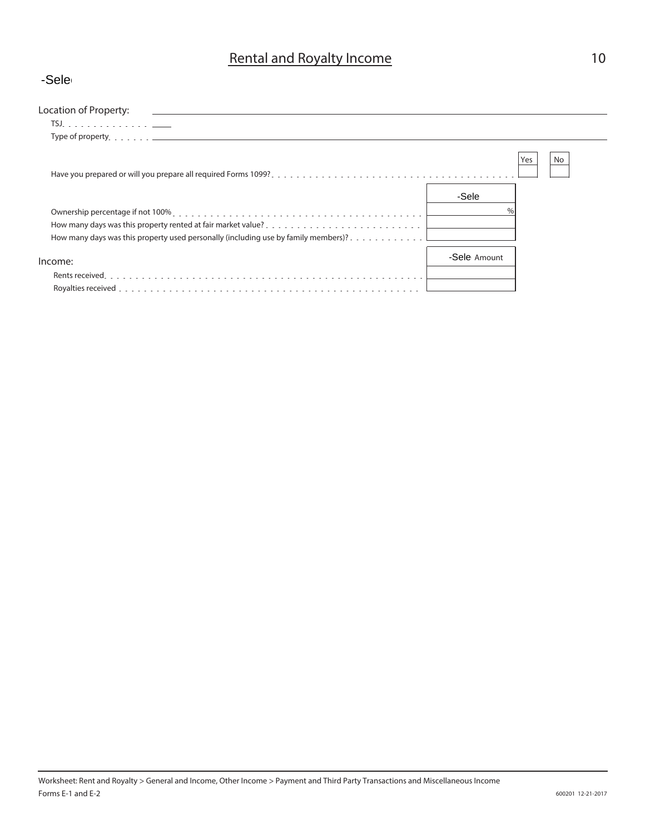# Rental and Royalty Income 10

# -Seler

| Location of Property:                                                                                                                                                           |              |                  |
|---------------------------------------------------------------------------------------------------------------------------------------------------------------------------------|--------------|------------------|
|                                                                                                                                                                                 |              |                  |
|                                                                                                                                                                                 |              |                  |
| Have you prepared or will you prepare all required Forms 1099?<br>Letterstade the content of the content of the content of the content of the content of Forms of the content o |              | <b>No</b><br>Yes |
|                                                                                                                                                                                 | -Sele        |                  |
|                                                                                                                                                                                 | $\%$ .       |                  |
|                                                                                                                                                                                 |              |                  |
|                                                                                                                                                                                 |              |                  |
| Income:                                                                                                                                                                         | -Sele Amount |                  |
|                                                                                                                                                                                 |              |                  |
|                                                                                                                                                                                 |              |                  |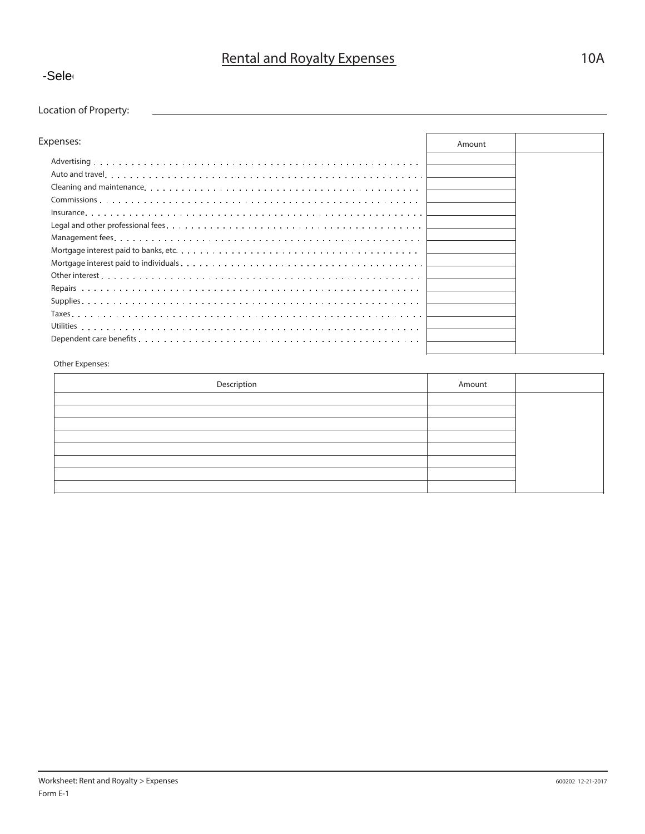# -Sele

Location of Property:

| Expenses: | Amount |  |
|-----------|--------|--|
|           |        |  |
|           |        |  |
|           |        |  |
|           |        |  |
|           |        |  |
|           |        |  |
|           |        |  |
|           |        |  |
|           |        |  |
|           |        |  |
|           |        |  |
|           |        |  |
|           |        |  |
|           |        |  |
|           |        |  |
|           |        |  |

#### Other Expenses:

| Description | Amount |  |
|-------------|--------|--|
|             |        |  |
|             |        |  |
|             |        |  |
|             |        |  |
|             |        |  |
|             |        |  |
|             |        |  |
|             |        |  |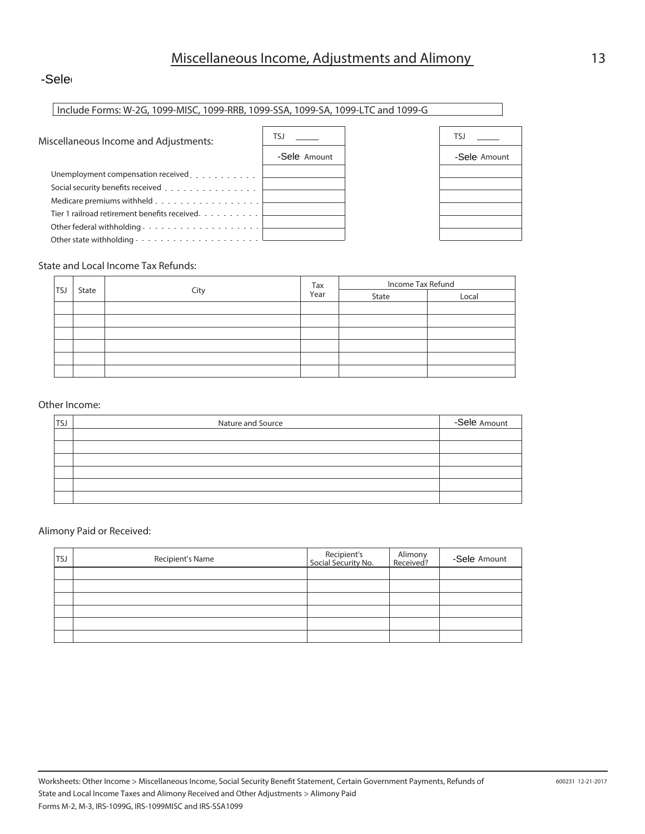# Miscellaneous Income, Adjustments and Alimony 13

### -Sele

### Include Forms: W-2G, 1099-MISC, 1099-RRB, 1099-SSA, 1099-SA, 1099-LTC and 1099-G

| Miscellaneous Income and Adjustments:         | TSJ          | TSJ |
|-----------------------------------------------|--------------|-----|
|                                               | -Sele Amount | -S  |
| Unemployment compensation received.           |              |     |
| Social security benefits received             |              |     |
| Medicare premiums withheld                    |              |     |
| Tier 1 railroad retirement benefits received. |              |     |
|                                               |              |     |
|                                               |              |     |

-Sele Amount | **Amount | Amount | Amount | Amount | Amount** | Amount

### State and Local Income Tax Refunds:

|      |       |      | Tax  | Income Tax Refund |       |
|------|-------|------|------|-------------------|-------|
| 'TSJ | State | City | Year | State             | Local |
|      |       |      |      |                   |       |
|      |       |      |      |                   |       |
|      |       |      |      |                   |       |
|      |       |      |      |                   |       |
|      |       |      |      |                   |       |
|      |       |      |      |                   |       |

#### Other Income:

| <b>TSJ</b> | Nature and Source | -Sele Amount |
|------------|-------------------|--------------|
|            |                   |              |
|            |                   |              |
|            |                   |              |
|            |                   |              |
|            |                   |              |
|            |                   |              |

#### Alimony Paid or Received:

| <b>TSJ</b> | Recipient's Name | Recipient's<br>Social Security No. | Alimony<br>Received? | -Sele Amount |
|------------|------------------|------------------------------------|----------------------|--------------|
|            |                  |                                    |                      |              |
|            |                  |                                    |                      |              |
|            |                  |                                    |                      |              |
|            |                  |                                    |                      |              |
|            |                  |                                    |                      |              |
|            |                  |                                    |                      |              |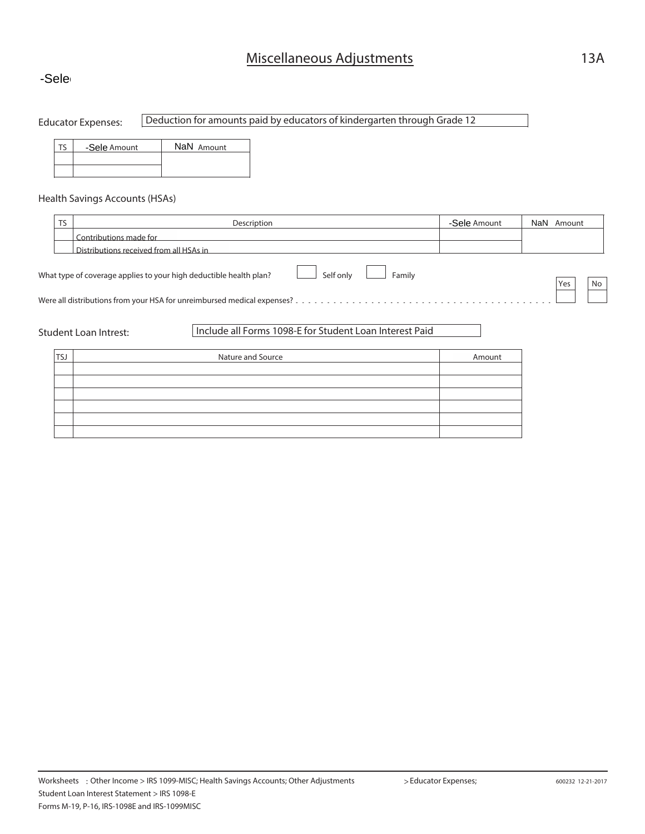-Sele

# TS | -Sele Amount | NaN Amount TS **THE CONSTRUCTE CONSTRUCTE AMOUNT AMOUNT AMOUNT AMOUNT AMOUNT AMOUNT AMOUNT AMOUNT AMOUNT AMOUNT AMOUNT AMOUNT AMOUNT AMOUNT AMOUNT AMOUNT AMOUNT AMOUNT AMOUNT AMOUNT AMOUNT AMOUNT AMOUNT AMOUNT AMOUNT AMOUNT AMOUNT AMO** Yes No TSJ Nature and Source 2017 Amount 2017 Amount 2017 Amount 2017 Amount 2017 Amount Contributions made for Distributions received from all HSAs in What type of coverage applies to your high deductible health plan?  $\Box$  Self only  $\Box$  Family Were all distributions from your HSA for unreimbursed medical expenses? . . . . . . . . . . Educator Expenses: Deduction for amounts paid by educators of kindergarten through Grade 12 Health Savings Accounts (HSAs) Student Loan Intrest: Include all Forms 1098-E for Student Loan Interest Paid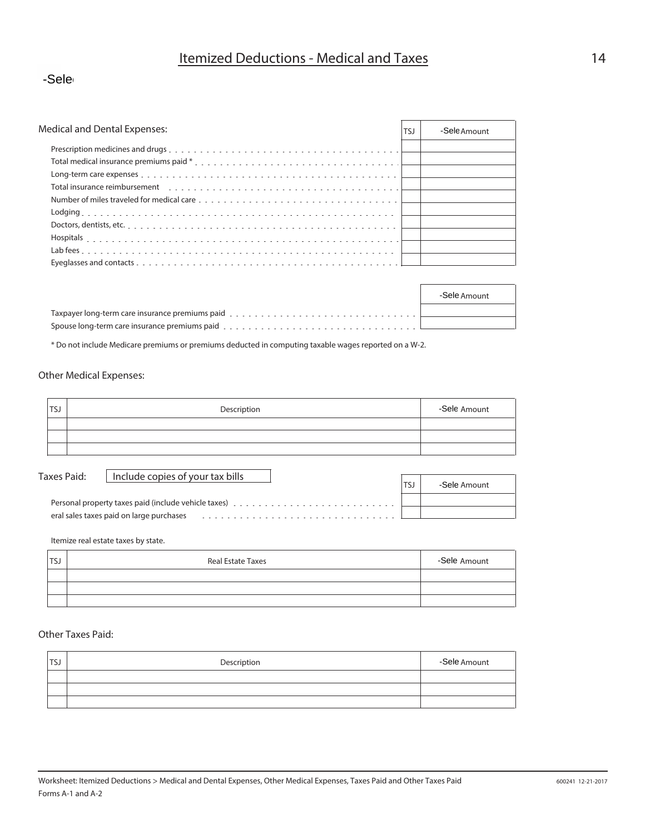# Itemized Deductions - Medical and Taxes 14

# -Selection

| <b>Medical and Dental Expenses:</b> | <b>TSJ</b> | -Sele Amount |
|-------------------------------------|------------|--------------|
|                                     |            |              |
|                                     |            |              |
|                                     |            |              |
|                                     |            |              |
|                                     |            |              |
|                                     |            |              |
|                                     |            |              |
|                                     |            |              |
|                                     |            |              |
|                                     |            |              |

|                                                                                                                                       | -Sele Amount |
|---------------------------------------------------------------------------------------------------------------------------------------|--------------|
| Taxpayer long-term care insurance premiums paid $\ldots \ldots \ldots \ldots \ldots \ldots \ldots \ldots \ldots \ldots \ldots \ldots$ |              |
|                                                                                                                                       |              |

\* Do not include Medicare premiums or premiums deducted in computing taxable wages reported on a W-2.

#### Other Medical Expenses:

| 15. | Description | -Sele Amount |
|-----|-------------|--------------|
|     |             |              |
|     |             |              |
|     |             |              |

| Taxes Paid: | Include copies of your tax bills                                                                                  | -Sele Amount |
|-------------|-------------------------------------------------------------------------------------------------------------------|--------------|
|             | Personal property taxes paid (include vehicle taxes) enterstanded and contained a series of the Personal Personal |              |
|             | eral sales taxes paid on large purchases                                                                          |              |

Itemize real estate taxes by state.

| LS. | Real Estate Taxes | -Sele Amount |
|-----|-------------------|--------------|
|     |                   |              |
|     |                   |              |
|     |                   |              |

#### Other Taxes Paid:

| 15. | Description | -Sele Amount |
|-----|-------------|--------------|
|     |             |              |
|     |             |              |
|     |             |              |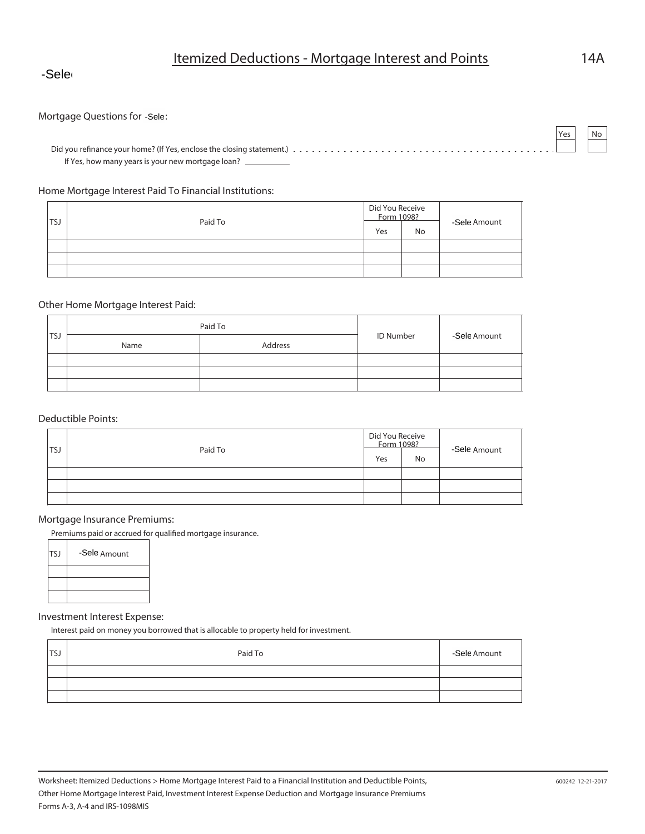# Itemized Deductions - Mortgage Interest and Points 14A

### -Sele

#### Mortgage Questions for -Sele:

| Did you refinance your home? (If Yes, enclose the closing statement.)<br>and you refinance your home? (If Yes, enclose the closing statement.)<br>and the sensure of the sensure of the sensure of the sensure of the limit of the |  |  |
|------------------------------------------------------------------------------------------------------------------------------------------------------------------------------------------------------------------------------------|--|--|
| If Yes, how many years is your new mortgage loan?                                                                                                                                                                                  |  |  |

#### Home Mortgage Interest Paid To Financial Institutions:

| <b>TSJ</b> |  | Paid To | Did You Receive<br>Form 1098? |    | -Sele Amount |
|------------|--|---------|-------------------------------|----|--------------|
|            |  |         | Yes                           | No |              |
|            |  |         |                               |    |              |
|            |  |         |                               |    |              |
|            |  |         |                               |    |              |

#### Other Home Mortgage Interest Paid:

|            | Paid To |         |                  |              |  |
|------------|---------|---------|------------------|--------------|--|
| <b>TSJ</b> | Name    | Address | <b>ID Number</b> | -Sele Amount |  |
|            |         |         |                  |              |  |
|            |         |         |                  |              |  |
|            |         |         |                  |              |  |

#### Deductible Points:

|            |                                                            |                                                                                        | 01111 1 U J U                 |    |              |
|------------|------------------------------------------------------------|----------------------------------------------------------------------------------------|-------------------------------|----|--------------|
| TSJ        |                                                            | Paid To                                                                                | Yes                           | No | -Sele Amount |
|            |                                                            |                                                                                        |                               |    |              |
|            |                                                            |                                                                                        |                               |    |              |
|            |                                                            |                                                                                        |                               |    |              |
|            | ther Home Mortgage Interest Paid:                          |                                                                                        |                               |    |              |
|            |                                                            | Paid To                                                                                |                               |    |              |
| TSJ        | Name                                                       | Address                                                                                | ID Number                     |    | -Sele Amount |
|            |                                                            |                                                                                        |                               |    |              |
|            |                                                            |                                                                                        |                               |    |              |
|            |                                                            |                                                                                        |                               |    |              |
| TSJ        | eductible Points:                                          | Paid To                                                                                | Did You Receive<br>Form 1098? |    | -Sele Amount |
|            |                                                            |                                                                                        | Yes                           | No |              |
|            |                                                            |                                                                                        |                               |    |              |
|            |                                                            |                                                                                        |                               |    |              |
|            |                                                            |                                                                                        |                               |    |              |
|            | ortgage Insurance Premiums:                                |                                                                                        |                               |    |              |
|            | Premiums paid or accrued for qualified mortgage insurance. |                                                                                        |                               |    |              |
| <b>TSJ</b> | -Sele Amount                                               |                                                                                        |                               |    |              |
|            |                                                            |                                                                                        |                               |    |              |
|            |                                                            |                                                                                        |                               |    |              |
|            |                                                            |                                                                                        |                               |    |              |
|            | vestment Interest Expense:                                 |                                                                                        |                               |    |              |
|            |                                                            | Interest paid on money you borrowed that is allocable to property held for investment. |                               |    |              |
| TSJ        |                                                            | Paid To                                                                                |                               |    | -Sele Amount |

#### Mortgage Insurance Premiums:



#### Investment Interest Expense:

| ٔ TSJ | Paid To | -Sele Amount |
|-------|---------|--------------|
|       |         |              |
|       |         |              |
|       |         |              |

Yes No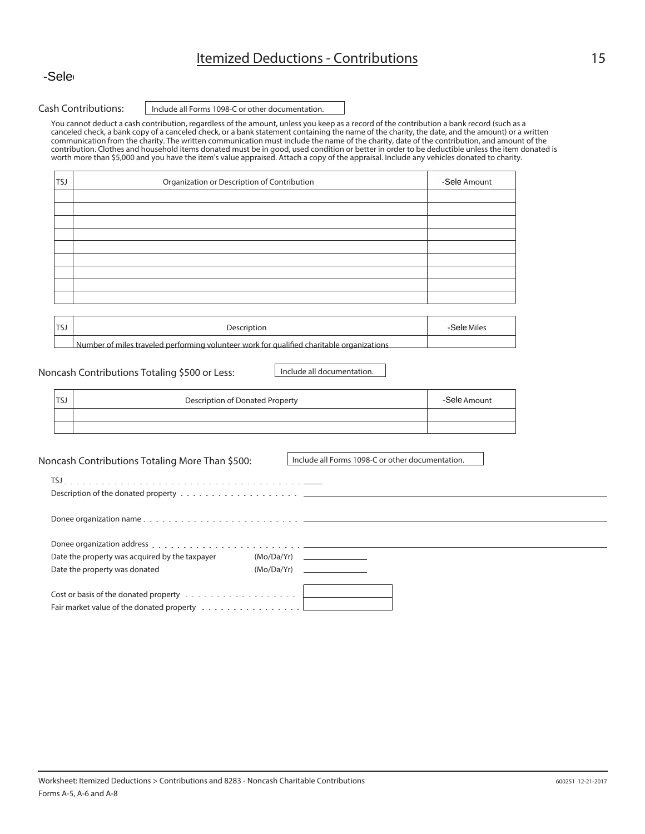# Itemized Deductions - Contributions 15

### -Sele

#### Cash Contributions:

Include all Forms 1098-C or other documentation.

You cannot deduct a cash contribution, regardless of the amount, unless you keep as a record of the contribution a bank record (such as a<br>canceled check, a bank copy of a canceled check, or a bank statement containing the communication from the charity. The written communication must include the name of the charity, date of the contribution, and amount of the<br>contribution. Clothes and household items donated must be in good, used condition worth more than \$5,000 and you have the item's value appraised. Attach a copy of the appraisal. Include any vehicles donated to charity.

| TSJ | Organization or Description of Contribution | -Sele Amount |
|-----|---------------------------------------------|--------------|
|     |                                             |              |
|     |                                             |              |
|     |                                             |              |
|     |                                             |              |
|     |                                             |              |
|     |                                             |              |
|     |                                             |              |
|     |                                             |              |
|     |                                             |              |

|  | Description                                                                               | -Sele Miles |
|--|-------------------------------------------------------------------------------------------|-------------|
|  | Number of miles traveled performing volunteer work for qualified charitable organizations |             |

Noncash Contributions Totaling \$500 or Less:

Include all documentation.

| ر ر | Description of Donated Property | -Sele Amount |
|-----|---------------------------------|--------------|
|     |                                 |              |
|     |                                 |              |

| Noncash Contributions Totaling More Than \$500:                                                                                                                                                                               |  | Include all Forms 1098-C or other documentation. |  |
|-------------------------------------------------------------------------------------------------------------------------------------------------------------------------------------------------------------------------------|--|--------------------------------------------------|--|
| Description of the donated property entering the service of the service of the control of the donated property entering the service of the service of the service of the service of the service of the service of the service |  |                                                  |  |
|                                                                                                                                                                                                                               |  |                                                  |  |
|                                                                                                                                                                                                                               |  |                                                  |  |
| Date the property was acquired by the taxpayer                                                                                                                                                                                |  |                                                  |  |
| Date the property was donated                                                                                                                                                                                                 |  | (Mo/Da/Yr)                                       |  |
| Fair market value of the donated property enter the set of the set of the control of the donated property enter the set of the set of the set of the set of the set of the set of the set of the set of the set of the set of |  |                                                  |  |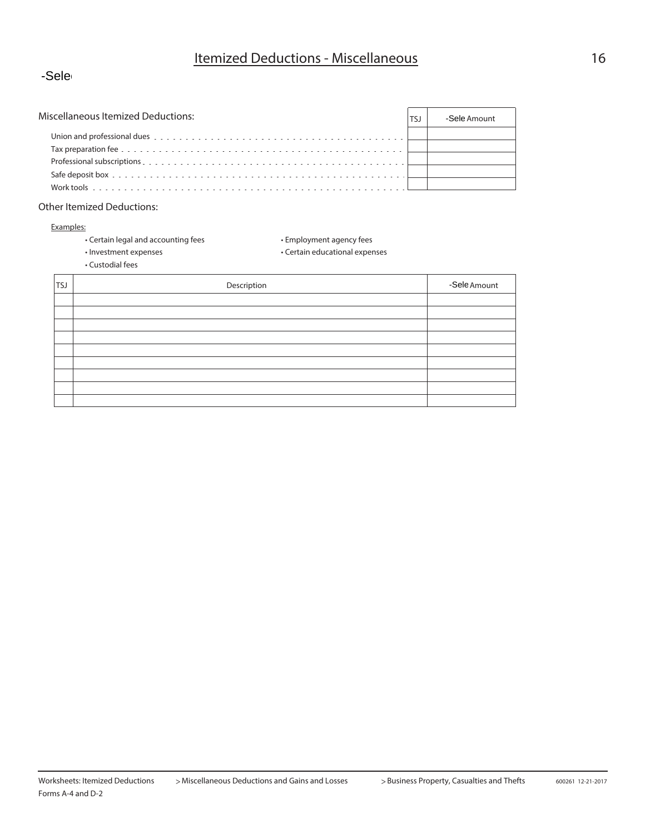# Itemized Deductions - Miscellaneous 16

# -Seler

| Miscellaneous Itemized Deductions: | TSJ | -Sele Amount |
|------------------------------------|-----|--------------|
|                                    |     |              |
|                                    |     |              |
|                                    |     |              |
|                                    |     |              |
|                                    |     |              |

### Other Itemized Deductions:

#### Examples:

| • Certain legal and accounting fees | • Employment agency fees       |
|-------------------------------------|--------------------------------|
| • Investment expenses               | • Certain educational expenses |

• Custodial fees

| TSJ | Description | -Sele Amount |
|-----|-------------|--------------|
|     |             |              |
|     |             |              |
|     |             |              |
|     |             |              |
|     |             |              |
|     |             |              |
|     |             |              |
|     |             |              |
|     |             |              |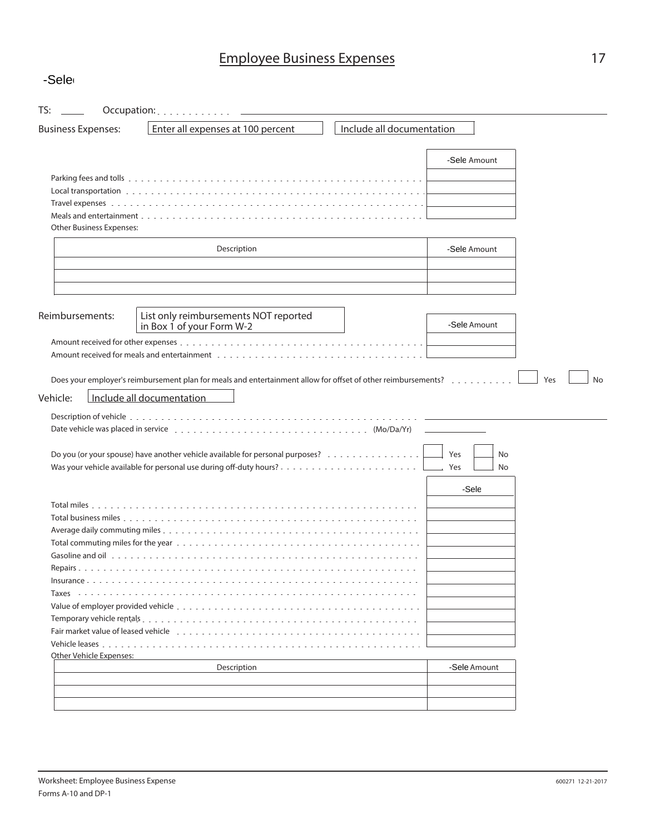# -Seler

| TS:                       |                                                                                                                                                                                                                                |                           |
|---------------------------|--------------------------------------------------------------------------------------------------------------------------------------------------------------------------------------------------------------------------------|---------------------------|
| <b>Business Expenses:</b> | Enter all expenses at 100 percent                                                                                                                                                                                              | Include all documentation |
|                           |                                                                                                                                                                                                                                | -Sele Amount              |
|                           |                                                                                                                                                                                                                                |                           |
|                           | Local transportation (education of the contract of the contract of the contract of the contract of the contract of the contract of the contract of the contract of the contract of the contract of the contract of the contrac |                           |
|                           |                                                                                                                                                                                                                                |                           |
|                           |                                                                                                                                                                                                                                |                           |
| Other Business Expenses:  |                                                                                                                                                                                                                                |                           |
|                           | Description                                                                                                                                                                                                                    | -Sele Amount              |
|                           |                                                                                                                                                                                                                                |                           |
| Reimbursements:           | List only reimbursements NOT reported                                                                                                                                                                                          |                           |
|                           | in Box 1 of your Form W-2                                                                                                                                                                                                      | -Sele Amount              |
|                           |                                                                                                                                                                                                                                |                           |
|                           | Amount received for meals and entertainment (exclusive and exclusive and exclusive and exclusive and                                                                                                                           |                           |
|                           |                                                                                                                                                                                                                                |                           |
|                           |                                                                                                                                                                                                                                | <b>No</b><br>Yes          |
| Vehicle:                  | Include all documentation                                                                                                                                                                                                      |                           |
|                           |                                                                                                                                                                                                                                |                           |
|                           |                                                                                                                                                                                                                                |                           |
|                           |                                                                                                                                                                                                                                |                           |
|                           | Do you (or your spouse) have another vehicle available for personal purposes? (as a serve a server see $\Box$                                                                                                                  | Yes<br>No                 |
|                           |                                                                                                                                                                                                                                | No                        |
|                           |                                                                                                                                                                                                                                | -Sele                     |
|                           |                                                                                                                                                                                                                                |                           |
|                           |                                                                                                                                                                                                                                |                           |
|                           |                                                                                                                                                                                                                                |                           |
|                           | Total commuting miles for the year end and contact the state of the state of the state of the state of the state of the state of the state of the state of the state of the state of the state of the state of the state of th |                           |
|                           | Gasoline and oil engage and a series are considered as a series of the series and considered and consideration                                                                                                                 |                           |
|                           |                                                                                                                                                                                                                                |                           |
| Insurance -               |                                                                                                                                                                                                                                |                           |
| Taxes                     | .<br>de la caractería de la caractería de la caractería                                                                                                                                                                        |                           |
|                           |                                                                                                                                                                                                                                |                           |
|                           |                                                                                                                                                                                                                                |                           |
|                           | Fair market value of leased vehicle enterpresent and contained a series of the series of the series of the seri                                                                                                                |                           |
| Vehicle leases            |                                                                                                                                                                                                                                |                           |
| Other Vehicle Expenses:   |                                                                                                                                                                                                                                |                           |
|                           | Description                                                                                                                                                                                                                    | -Sele Amount              |
|                           |                                                                                                                                                                                                                                |                           |
|                           |                                                                                                                                                                                                                                |                           |
|                           |                                                                                                                                                                                                                                |                           |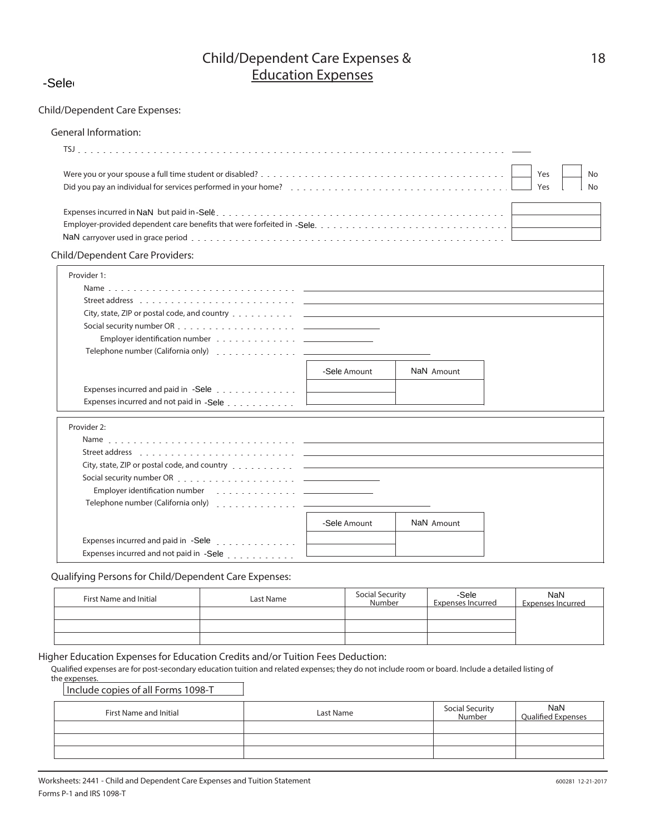# Child/Dependent Care Expenses & Education Expenses

### $-Selec$

### Child/Dependent Care Expenses:

#### General Information:

| Were you or your spouse a full time student or disabled?<br>Did you pay an individual for services performed in your home?<br>No |  |  |
|----------------------------------------------------------------------------------------------------------------------------------|--|--|
|                                                                                                                                  |  |  |

#### Child/Dependent Care Providers:

| Expenses incurred in NaN but paid in -Sele Particle Particle Particle Particle Particle Particle Particle Part                                                                                                                                                                       |           |             |                                  |                                   |                                        |
|--------------------------------------------------------------------------------------------------------------------------------------------------------------------------------------------------------------------------------------------------------------------------------------|-----------|-------------|----------------------------------|-----------------------------------|----------------------------------------|
| hild/Dependent Care Providers:                                                                                                                                                                                                                                                       |           |             |                                  |                                   |                                        |
| Provider 1:<br>Street address and a construction of the construction of the construction of the construction of the construction of<br>City, state, ZIP or postal code, and country entering the state of the control of the control of the control of                               |           |             |                                  |                                   |                                        |
|                                                                                                                                                                                                                                                                                      |           |             | -Sele Amount                     | NaN Amount                        |                                        |
| Provider 2:<br>City, state, ZIP or postal code, and country entries and control and complete the state of the state of the state of the state of the state of the state of the state of the state of the state of the state of the state of t                                        |           |             |                                  |                                   |                                        |
| Expenses incurred and paid in Sele                                                                                                                                                                                                                                                   |           |             | -Sele Amount                     | NaN Amount                        |                                        |
| ualifying Persons for Child/Dependent Care Expenses:                                                                                                                                                                                                                                 |           |             |                                  |                                   |                                        |
| First Name and Initial                                                                                                                                                                                                                                                               | Last Name |             | <b>Social Security</b><br>Number | -Sele<br><b>Expenses Incurred</b> | <b>NaN</b><br><b>Expenses Incurred</b> |
| er Education Expenses for Education Credits and/or Tuition Fees Deduction:<br>ualified expenses are for post-secondary education tuition and related expenses; they do not include room or board. Include a detailed listing of<br>e expenses.<br>Include copies of all Forms 1098-T |           |             |                                  |                                   |                                        |
| <b>Education Constitutional Institute Inc.</b>                                                                                                                                                                                                                                       |           | $1 - 1 - 1$ |                                  | <b>Social Security</b>            | NaN                                    |

|                                         | -Sele Amount | NaN Amount |
|-----------------------------------------|--------------|------------|
| Expenses incurred and paid in -Sele     |              |            |
| Expenses incurred and not paid in -Sele |              |            |

### Qualifying Persons for Child/Dependent Care Expenses:

| First Name and Initial | Last Name | Social Security<br>Number | -Sele<br><b>Expenses Incurred</b> | NaN<br><b>Expenses Incurred</b> |
|------------------------|-----------|---------------------------|-----------------------------------|---------------------------------|
|                        |           |                           |                                   |                                 |
|                        |           |                           |                                   |                                 |
|                        |           |                           |                                   |                                 |

#### Higher Education Expenses for Education Credits and/or Tuition Fees Deduction:

| <b>First Name and Initial</b> | Last Name | Social Security<br>Number | NaN<br>Qualified Expenses |
|-------------------------------|-----------|---------------------------|---------------------------|
|                               |           |                           |                           |
|                               |           |                           |                           |
|                               |           |                           |                           |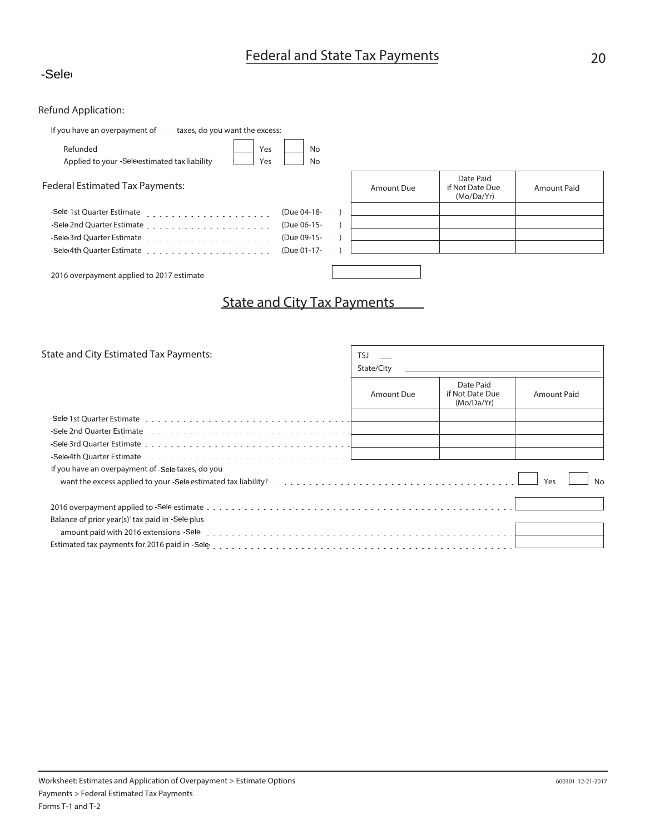# Federal and State Tax Payments 20

### -Sele

### Refund Application:

| If you have an overpayment of<br>taxes, do you want the excess:         |             |            |                                            |                    |
|-------------------------------------------------------------------------|-------------|------------|--------------------------------------------|--------------------|
| Refunded<br>Yes<br>Applied to your -Sele estimated tax liability<br>Yes | No<br>No    |            |                                            |                    |
| Federal Estimated Tax Payments:                                         |             | Amount Due | Date Paid<br>if Not Date Due<br>(Mo/Da/Yr) | <b>Amount Paid</b> |
|                                                                         | (Due 04-18- |            |                                            |                    |
|                                                                         | (Due 06-15- |            |                                            |                    |
|                                                                         | (Due 09-15- |            |                                            |                    |
|                                                                         | (Due 01-17- |            |                                            |                    |
| 2016 overpayment applied to 2017 estimate                               |             |            |                                            |                    |

# State and City Tax Payments

| State and City Estimated Tax Payments:                                                                                                                                                                                                                                                                                                                                                                      | TSJ<br>State/City<br><u> 1989 - John Stein, Amerikaansk politiker (* 1908)</u> |                                            |             |  |  |
|-------------------------------------------------------------------------------------------------------------------------------------------------------------------------------------------------------------------------------------------------------------------------------------------------------------------------------------------------------------------------------------------------------------|--------------------------------------------------------------------------------|--------------------------------------------|-------------|--|--|
|                                                                                                                                                                                                                                                                                                                                                                                                             | Amount Due                                                                     | Date Paid<br>if Not Date Due<br>(Mo/Da/Yr) | Amount Paid |  |  |
|                                                                                                                                                                                                                                                                                                                                                                                                             |                                                                                |                                            |             |  |  |
|                                                                                                                                                                                                                                                                                                                                                                                                             |                                                                                |                                            |             |  |  |
|                                                                                                                                                                                                                                                                                                                                                                                                             |                                                                                |                                            |             |  |  |
|                                                                                                                                                                                                                                                                                                                                                                                                             |                                                                                |                                            |             |  |  |
| If you have an overpayment of -Sele taxes, do you<br>want the excess applied to your -Sele estimated tax liability?                                                                                                                                                                                                                                                                                         |                                                                                |                                            | Yes<br>Nο   |  |  |
| 2016 overpayment applied to -Sele estimate end as a series of the contract of the contract of the contract of the contract of the contract of the contract of the contract of the contract of the contract of the contract of                                                                                                                                                                               |                                                                                |                                            |             |  |  |
| Balance of prior year(s)' tax paid in -Seleplus<br>amount paid with 2016 extensions -Sele education of the contract of the contract of the contract of the contract of the contract of the contract of the contract of the contract of the contract of the contract of the contra<br>Estimated tax payments for 2016 paid in -Sele <b>Express Construction Construction</b> Construction Construction Const |                                                                                |                                            |             |  |  |